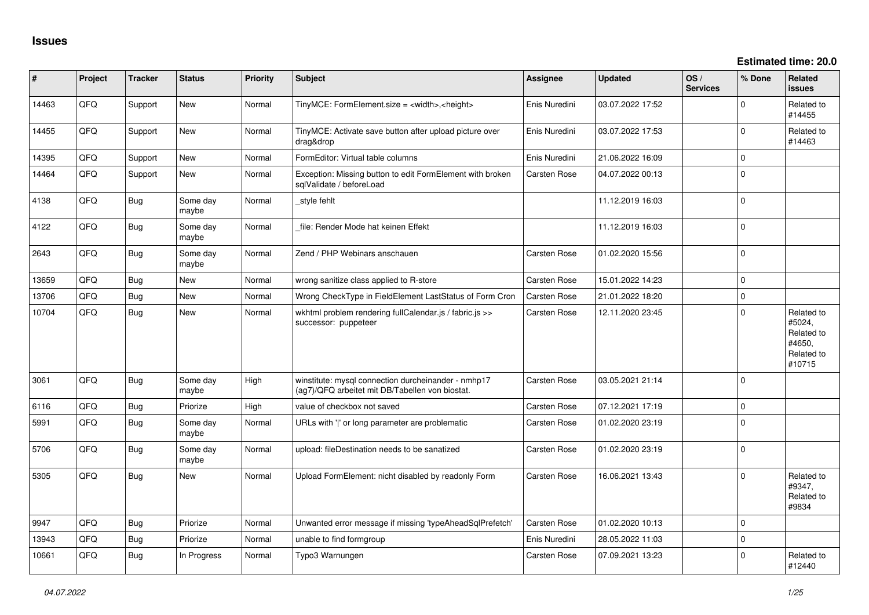| #     | Project | <b>Tracker</b> | <b>Status</b>     | <b>Priority</b> | <b>Subject</b>                                                                                         | <b>Assignee</b>     | <b>Updated</b>   | OS/<br><b>Services</b> | % Done      | Related<br><b>issues</b>                                             |
|-------|---------|----------------|-------------------|-----------------|--------------------------------------------------------------------------------------------------------|---------------------|------------------|------------------------|-------------|----------------------------------------------------------------------|
| 14463 | QFQ     | Support        | New               | Normal          | TinyMCE: FormElement.size = <width>,<height></height></width>                                          | Enis Nuredini       | 03.07.2022 17:52 |                        | 0           | Related to<br>#14455                                                 |
| 14455 | QFQ     | Support        | New               | Normal          | TinyMCE: Activate save button after upload picture over<br>drag&drop                                   | Enis Nuredini       | 03.07.2022 17:53 |                        | 0           | Related to<br>#14463                                                 |
| 14395 | QFQ     | Support        | <b>New</b>        | Normal          | FormEditor: Virtual table columns                                                                      | Enis Nuredini       | 21.06.2022 16:09 |                        | 0           |                                                                      |
| 14464 | QFQ     | Support        | <b>New</b>        | Normal          | Exception: Missing button to edit FormElement with broken<br>sqlValidate / beforeLoad                  | Carsten Rose        | 04.07.2022 00:13 |                        | $\mathbf 0$ |                                                                      |
| 4138  | QFQ     | <b>Bug</b>     | Some day<br>maybe | Normal          | _style fehlt                                                                                           |                     | 11.12.2019 16:03 |                        | $\mathbf 0$ |                                                                      |
| 4122  | QFQ     | Bug            | Some day<br>maybe | Normal          | file: Render Mode hat keinen Effekt                                                                    |                     | 11.12.2019 16:03 |                        | 0           |                                                                      |
| 2643  | QFQ     | Bug            | Some day<br>maybe | Normal          | Zend / PHP Webinars anschauen                                                                          | <b>Carsten Rose</b> | 01.02.2020 15:56 |                        | $\mathbf 0$ |                                                                      |
| 13659 | QFQ     | Bug            | New               | Normal          | wrong sanitize class applied to R-store                                                                | <b>Carsten Rose</b> | 15.01.2022 14:23 |                        | $\mathbf 0$ |                                                                      |
| 13706 | QFQ     | <b>Bug</b>     | <b>New</b>        | Normal          | Wrong CheckType in FieldElement LastStatus of Form Cron                                                | <b>Carsten Rose</b> | 21.01.2022 18:20 |                        | $\mathbf 0$ |                                                                      |
| 10704 | QFQ     | <b>Bug</b>     | <b>New</b>        | Normal          | wkhtml problem rendering fullCalendar.js / fabric.js >><br>successor: puppeteer                        | <b>Carsten Rose</b> | 12.11.2020 23:45 |                        | $\mathbf 0$ | Related to<br>#5024,<br>Related to<br>#4650,<br>Related to<br>#10715 |
| 3061  | QFQ     | Bug            | Some day<br>maybe | High            | winstitute: mysql connection durcheinander - nmhp17<br>(ag7)/QFQ arbeitet mit DB/Tabellen von biostat. | <b>Carsten Rose</b> | 03.05.2021 21:14 |                        | $\mathbf 0$ |                                                                      |
| 6116  | QFQ     | <b>Bug</b>     | Priorize          | High            | value of checkbox not saved                                                                            | <b>Carsten Rose</b> | 07.12.2021 17:19 |                        | $\mathbf 0$ |                                                                      |
| 5991  | QFQ     | <b>Bug</b>     | Some day<br>maybe | Normal          | URLs with 'I' or long parameter are problematic                                                        | Carsten Rose        | 01.02.2020 23:19 |                        | $\mathbf 0$ |                                                                      |
| 5706  | QFQ     | <b>Bug</b>     | Some day<br>maybe | Normal          | upload: fileDestination needs to be sanatized                                                          | <b>Carsten Rose</b> | 01.02.2020 23:19 |                        | $\mathbf 0$ |                                                                      |
| 5305  | QFQ     | Bug            | New               | Normal          | Upload FormElement: nicht disabled by readonly Form                                                    | <b>Carsten Rose</b> | 16.06.2021 13:43 |                        | $\mathbf 0$ | Related to<br>#9347,<br>Related to<br>#9834                          |
| 9947  | QFQ     | Bug            | Priorize          | Normal          | Unwanted error message if missing 'typeAheadSqlPrefetch'                                               | <b>Carsten Rose</b> | 01.02.2020 10:13 |                        | $\mathbf 0$ |                                                                      |
| 13943 | QFQ     | <b>Bug</b>     | Priorize          | Normal          | unable to find formgroup                                                                               | Enis Nuredini       | 28.05.2022 11:03 |                        | $\mathbf 0$ |                                                                      |
| 10661 | QFQ     | <b>Bug</b>     | In Progress       | Normal          | Typo3 Warnungen                                                                                        | <b>Carsten Rose</b> | 07.09.2021 13:23 |                        | $\Omega$    | Related to<br>#12440                                                 |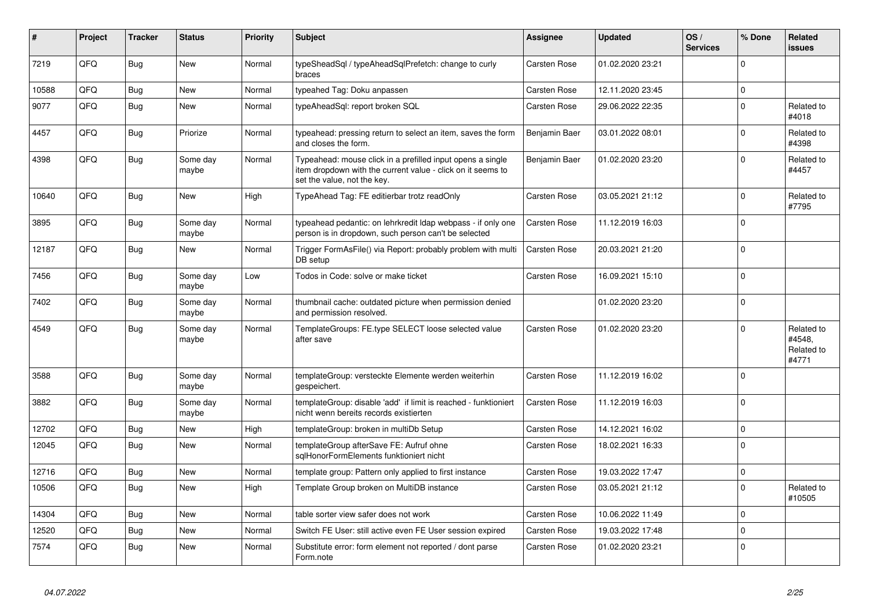| #     | Project | <b>Tracker</b> | <b>Status</b>     | <b>Priority</b> | <b>Subject</b>                                                                                                                                           | Assignee            | <b>Updated</b>   | OS/<br><b>Services</b> | % Done         | Related<br>issues                           |
|-------|---------|----------------|-------------------|-----------------|----------------------------------------------------------------------------------------------------------------------------------------------------------|---------------------|------------------|------------------------|----------------|---------------------------------------------|
| 7219  | QFQ     | <b>Bug</b>     | <b>New</b>        | Normal          | typeSheadSgl / typeAheadSglPrefetch: change to curly<br>braces                                                                                           | Carsten Rose        | 01.02.2020 23:21 |                        | $\Omega$       |                                             |
| 10588 | QFQ     | Bug            | <b>New</b>        | Normal          | typeahed Tag: Doku anpassen                                                                                                                              | Carsten Rose        | 12.11.2020 23:45 |                        | $\mathbf 0$    |                                             |
| 9077  | QFQ     | <b>Bug</b>     | New               | Normal          | typeAheadSql: report broken SQL                                                                                                                          | Carsten Rose        | 29.06.2022 22:35 |                        | 0 I            | Related to<br>#4018                         |
| 4457  | QFQ     | Bug            | Priorize          | Normal          | typeahead: pressing return to select an item, saves the form<br>and closes the form.                                                                     | Benjamin Baer       | 03.01.2022 08:01 |                        | $\Omega$       | Related to<br>#4398                         |
| 4398  | QFQ     | Bug            | Some day<br>maybe | Normal          | Typeahead: mouse click in a prefilled input opens a single<br>item dropdown with the current value - click on it seems to<br>set the value, not the key. | Benjamin Baer       | 01.02.2020 23:20 |                        | $\Omega$       | Related to<br>#4457                         |
| 10640 | QFQ     | <b>Bug</b>     | <b>New</b>        | High            | TypeAhead Tag: FE editierbar trotz readOnly                                                                                                              | Carsten Rose        | 03.05.2021 21:12 |                        | $\Omega$       | Related to<br>#7795                         |
| 3895  | QFQ     | Bug            | Some day<br>maybe | Normal          | typeahead pedantic: on lehrkredit Idap webpass - if only one<br>person is in dropdown, such person can't be selected                                     | Carsten Rose        | 11.12.2019 16:03 |                        | $\Omega$       |                                             |
| 12187 | QFQ     | <b>Bug</b>     | New               | Normal          | Trigger FormAsFile() via Report: probably problem with multi<br>DB setup                                                                                 | Carsten Rose        | 20.03.2021 21:20 |                        | $\Omega$       |                                             |
| 7456  | QFQ     | <b>Bug</b>     | Some day<br>maybe | Low             | Todos in Code: solve or make ticket                                                                                                                      | Carsten Rose        | 16.09.2021 15:10 |                        | 0              |                                             |
| 7402  | QFQ     | Bug            | Some day<br>maybe | Normal          | thumbnail cache: outdated picture when permission denied<br>and permission resolved.                                                                     |                     | 01.02.2020 23:20 |                        | $\overline{0}$ |                                             |
| 4549  | QFQ     | Bug            | Some day<br>maybe | Normal          | TemplateGroups: FE.type SELECT loose selected value<br>after save                                                                                        | Carsten Rose        | 01.02.2020 23:20 |                        | $\Omega$       | Related to<br>#4548,<br>Related to<br>#4771 |
| 3588  | QFQ     | Bug            | Some day<br>maybe | Normal          | templateGroup: versteckte Elemente werden weiterhin<br>gespeichert.                                                                                      | Carsten Rose        | 11.12.2019 16:02 |                        | 0 I            |                                             |
| 3882  | QFQ     | Bug            | Some day<br>maybe | Normal          | templateGroup: disable 'add' if limit is reached - funktioniert<br>nicht wenn bereits records existierten                                                | Carsten Rose        | 11.12.2019 16:03 |                        | l 0            |                                             |
| 12702 | QFQ     | Bug            | <b>New</b>        | High            | templateGroup: broken in multiDb Setup                                                                                                                   | <b>Carsten Rose</b> | 14.12.2021 16:02 |                        | $\Omega$       |                                             |
| 12045 | QFQ     | <b>Bug</b>     | <b>New</b>        | Normal          | templateGroup afterSave FE: Aufruf ohne<br>sglHonorFormElements funktioniert nicht                                                                       | Carsten Rose        | 18.02.2021 16:33 |                        | 0              |                                             |
| 12716 | QFQ     | <b>Bug</b>     | <b>New</b>        | Normal          | template group: Pattern only applied to first instance                                                                                                   | Carsten Rose        | 19.03.2022 17:47 |                        | $\mathbf 0$    |                                             |
| 10506 | QFQ     | <b>Bug</b>     | <b>New</b>        | High            | Template Group broken on MultiDB instance                                                                                                                | Carsten Rose        | 03.05.2021 21:12 |                        | 0              | Related to<br>#10505                        |
| 14304 | QFQ     | Bug            | <b>New</b>        | Normal          | table sorter view safer does not work                                                                                                                    | <b>Carsten Rose</b> | 10.06.2022 11:49 |                        | $\Omega$       |                                             |
| 12520 | QFQ     | <b>Bug</b>     | <b>New</b>        | Normal          | Switch FE User: still active even FE User session expired                                                                                                | Carsten Rose        | 19.03.2022 17:48 |                        | $\mathbf 0$    |                                             |
| 7574  | QFQ     | <b>Bug</b>     | <b>New</b>        | Normal          | Substitute error: form element not reported / dont parse<br>Form.note                                                                                    | Carsten Rose        | 01.02.2020 23:21 |                        | $\overline{0}$ |                                             |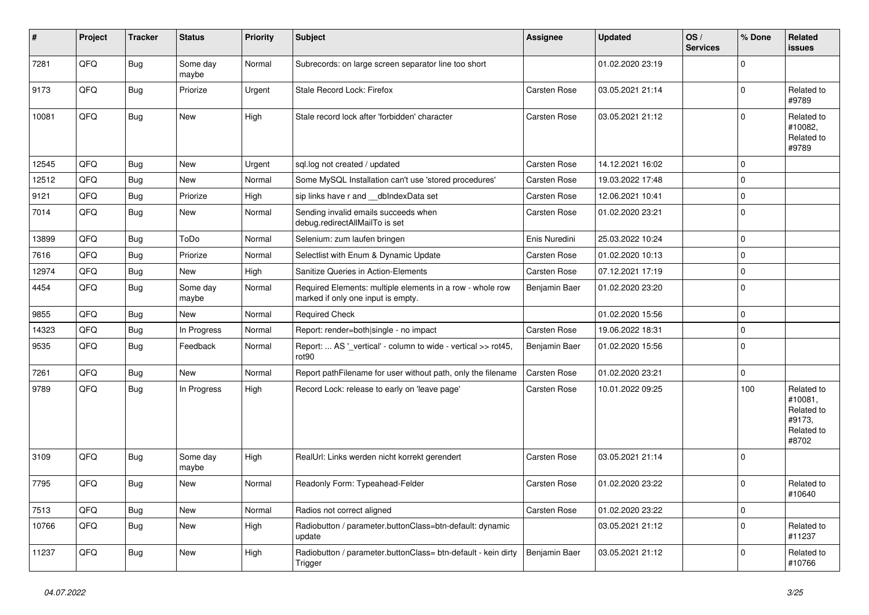| $\sharp$ | Project | <b>Tracker</b> | <b>Status</b>     | <b>Priority</b> | <b>Subject</b>                                                                                  | <b>Assignee</b> | <b>Updated</b>   | OS/<br><b>Services</b> | % Done      | Related<br>issues                                                    |
|----------|---------|----------------|-------------------|-----------------|-------------------------------------------------------------------------------------------------|-----------------|------------------|------------------------|-------------|----------------------------------------------------------------------|
| 7281     | QFQ     | Bug            | Some day<br>maybe | Normal          | Subrecords: on large screen separator line too short                                            |                 | 01.02.2020 23:19 |                        | $\Omega$    |                                                                      |
| 9173     | QFQ     | Bug            | Priorize          | Urgent          | Stale Record Lock: Firefox                                                                      | Carsten Rose    | 03.05.2021 21:14 |                        | 0           | Related to<br>#9789                                                  |
| 10081    | QFQ     | Bug            | <b>New</b>        | High            | Stale record lock after 'forbidden' character                                                   | Carsten Rose    | 03.05.2021 21:12 |                        | $\Omega$    | Related to<br>#10082,<br>Related to<br>#9789                         |
| 12545    | QFQ     | Bug            | <b>New</b>        | Urgent          | sql.log not created / updated                                                                   | Carsten Rose    | 14.12.2021 16:02 |                        | 0           |                                                                      |
| 12512    | QFQ     | Bug            | New               | Normal          | Some MySQL Installation can't use 'stored procedures'                                           | Carsten Rose    | 19.03.2022 17:48 |                        | $\mathbf 0$ |                                                                      |
| 9121     | QFQ     | <b>Bug</b>     | Priorize          | High            | sip links have r and __dbIndexData set                                                          | Carsten Rose    | 12.06.2021 10:41 |                        | $\mathbf 0$ |                                                                      |
| 7014     | QFQ     | <b>Bug</b>     | <b>New</b>        | Normal          | Sending invalid emails succeeds when<br>debug.redirectAllMailTo is set                          | Carsten Rose    | 01.02.2020 23:21 |                        | 0           |                                                                      |
| 13899    | QFQ     | Bug            | ToDo              | Normal          | Selenium: zum laufen bringen                                                                    | Enis Nuredini   | 25.03.2022 10:24 |                        | $\mathbf 0$ |                                                                      |
| 7616     | QFQ     | Bug            | Priorize          | Normal          | Selectlist with Enum & Dynamic Update                                                           | Carsten Rose    | 01.02.2020 10:13 |                        | $\mathbf 0$ |                                                                      |
| 12974    | QFQ     | Bug            | New               | High            | Sanitize Queries in Action-Elements                                                             | Carsten Rose    | 07.12.2021 17:19 |                        | $\Omega$    |                                                                      |
| 4454     | QFQ     | <b>Bug</b>     | Some day<br>maybe | Normal          | Required Elements: multiple elements in a row - whole row<br>marked if only one input is empty. | Benjamin Baer   | 01.02.2020 23:20 |                        | 0           |                                                                      |
| 9855     | QFQ     | <b>Bug</b>     | New               | Normal          | <b>Required Check</b>                                                                           |                 | 01.02.2020 15:56 |                        | $\mathbf 0$ |                                                                      |
| 14323    | QFQ     | Bug            | In Progress       | Normal          | Report: render=both single - no impact                                                          | Carsten Rose    | 19.06.2022 18:31 |                        | $\mathbf 0$ |                                                                      |
| 9535     | QFQ     | Bug            | Feedback          | Normal          | Report:  AS '_vertical' - column to wide - vertical >> rot45,<br>rot <sub>90</sub>              | Benjamin Baer   | 01.02.2020 15:56 |                        | $\Omega$    |                                                                      |
| 7261     | QFQ     | Bug            | <b>New</b>        | Normal          | Report pathFilename for user without path, only the filename                                    | Carsten Rose    | 01.02.2020 23:21 |                        | $\Omega$    |                                                                      |
| 9789     | QFQ     | Bug            | In Progress       | High            | Record Lock: release to early on 'leave page'                                                   | Carsten Rose    | 10.01.2022 09:25 |                        | 100         | Related to<br>#10081,<br>Related to<br>#9173,<br>Related to<br>#8702 |
| 3109     | QFQ     | <b>Bug</b>     | Some day<br>maybe | High            | RealUrl: Links werden nicht korrekt gerendert                                                   | Carsten Rose    | 03.05.2021 21:14 |                        | $\Omega$    |                                                                      |
| 7795     | QFQ     | Bug            | New               | Normal          | Readonly Form: Typeahead-Felder                                                                 | Carsten Rose    | 01.02.2020 23:22 |                        | $\Omega$    | Related to<br>#10640                                                 |
| 7513     | QFQ     | <b>Bug</b>     | New               | Normal          | Radios not correct aligned                                                                      | Carsten Rose    | 01.02.2020 23:22 |                        | 0           |                                                                      |
| 10766    | QFQ     | <b>Bug</b>     | New               | High            | Radiobutton / parameter.buttonClass=btn-default: dynamic<br>update                              |                 | 03.05.2021 21:12 |                        | $\mathbf 0$ | Related to<br>#11237                                                 |
| 11237    | QFQ     | <b>Bug</b>     | New               | High            | Radiobutton / parameter.buttonClass= btn-default - kein dirty<br>Trigger                        | Benjamin Baer   | 03.05.2021 21:12 |                        | $\mathbf 0$ | Related to<br>#10766                                                 |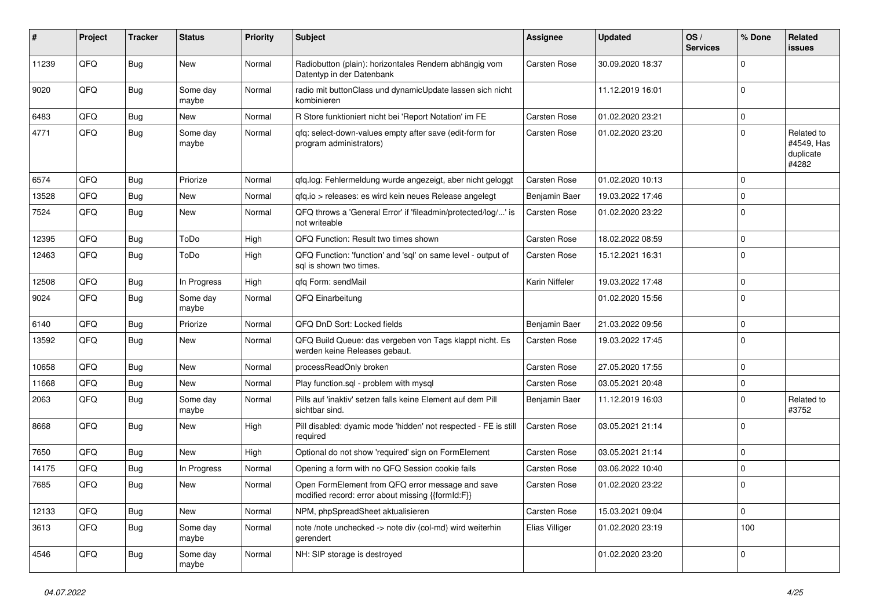| #     | Project | <b>Tracker</b> | <b>Status</b>     | <b>Priority</b> | <b>Subject</b>                                                                                        | <b>Assignee</b>     | <b>Updated</b>   | OS/<br><b>Services</b> | % Done      | Related<br>issues                              |
|-------|---------|----------------|-------------------|-----------------|-------------------------------------------------------------------------------------------------------|---------------------|------------------|------------------------|-------------|------------------------------------------------|
| 11239 | QFQ     | Bug            | New               | Normal          | Radiobutton (plain): horizontales Rendern abhängig vom<br>Datentyp in der Datenbank                   | Carsten Rose        | 30.09.2020 18:37 |                        | 0           |                                                |
| 9020  | QFQ     | Bug            | Some day<br>maybe | Normal          | radio mit buttonClass und dynamicUpdate lassen sich nicht<br>kombinieren                              |                     | 11.12.2019 16:01 |                        | $\mathbf 0$ |                                                |
| 6483  | QFQ     | Bug            | New               | Normal          | R Store funktioniert nicht bei 'Report Notation' im FE                                                | Carsten Rose        | 01.02.2020 23:21 |                        | 0           |                                                |
| 4771  | QFQ     | Bug            | Some dav<br>maybe | Normal          | gfg: select-down-values empty after save (edit-form for<br>program administrators)                    | Carsten Rose        | 01.02.2020 23:20 |                        | 0           | Related to<br>#4549, Has<br>duplicate<br>#4282 |
| 6574  | QFQ     | Bug            | Priorize          | Normal          | gfg.log: Fehlermeldung wurde angezeigt, aber nicht geloggt                                            | Carsten Rose        | 01.02.2020 10:13 |                        | 0           |                                                |
| 13528 | QFQ     | <b>Bug</b>     | New               | Normal          | qfq.io > releases: es wird kein neues Release angelegt                                                | Benjamin Baer       | 19.03.2022 17:46 |                        | 0           |                                                |
| 7524  | QFQ     | <b>Bug</b>     | New               | Normal          | QFQ throws a 'General Error' if 'fileadmin/protected/log/' is<br>not writeable                        | Carsten Rose        | 01.02.2020 23:22 |                        | 0           |                                                |
| 12395 | QFQ     | <b>Bug</b>     | ToDo              | High            | QFQ Function: Result two times shown                                                                  | Carsten Rose        | 18.02.2022 08:59 |                        | $\Omega$    |                                                |
| 12463 | QFQ     | Bug            | ToDo              | High            | QFQ Function: 'function' and 'sql' on same level - output of<br>sal is shown two times.               | Carsten Rose        | 15.12.2021 16:31 |                        | $\Omega$    |                                                |
| 12508 | QFQ     | <b>Bug</b>     | In Progress       | High            | qfq Form: sendMail                                                                                    | Karin Niffeler      | 19.03.2022 17:48 |                        | $\Omega$    |                                                |
| 9024  | QFQ     | Bug            | Some day<br>maybe | Normal          | QFQ Einarbeitung                                                                                      |                     | 01.02.2020 15:56 |                        | $\mathbf 0$ |                                                |
| 6140  | QFQ     | <b>Bug</b>     | Priorize          | Normal          | QFQ DnD Sort: Locked fields                                                                           | Benjamin Baer       | 21.03.2022 09:56 |                        | $\mathbf 0$ |                                                |
| 13592 | QFQ     | Bug            | New               | Normal          | QFQ Build Queue: das vergeben von Tags klappt nicht. Es<br>werden keine Releases gebaut.              | Carsten Rose        | 19.03.2022 17:45 |                        | $\Omega$    |                                                |
| 10658 | QFQ     | <b>Bug</b>     | New               | Normal          | processReadOnly broken                                                                                | <b>Carsten Rose</b> | 27.05.2020 17:55 |                        | $\mathbf 0$ |                                                |
| 11668 | QFQ     | Bug            | New               | Normal          | Play function.sql - problem with mysql                                                                | Carsten Rose        | 03.05.2021 20:48 |                        | 0           |                                                |
| 2063  | QFQ     | Bug            | Some day<br>maybe | Normal          | Pills auf 'inaktiv' setzen falls keine Element auf dem Pill<br>sichtbar sind.                         | Benjamin Baer       | 11.12.2019 16:03 |                        | 0           | Related to<br>#3752                            |
| 8668  | QFQ     | Bug            | New               | High            | Pill disabled: dyamic mode 'hidden' not respected - FE is still<br>required                           | Carsten Rose        | 03.05.2021 21:14 |                        | $\Omega$    |                                                |
| 7650  | QFQ     | Bug            | New               | High            | Optional do not show 'required' sign on FormElement                                                   | Carsten Rose        | 03.05.2021 21:14 |                        | $\mathbf 0$ |                                                |
| 14175 | QFQ     | <b>Bug</b>     | In Progress       | Normal          | Opening a form with no QFQ Session cookie fails                                                       | Carsten Rose        | 03.06.2022 10:40 |                        | $\mathbf 0$ |                                                |
| 7685  | QFQ     | <b>Bug</b>     | <b>New</b>        | Normal          | Open FormElement from QFQ error message and save<br>modified record: error about missing {{formId:F}} | Carsten Rose        | 01.02.2020 23:22 |                        | $\Omega$    |                                                |
| 12133 | QFQ     | Bug            | New               | Normal          | NPM, phpSpreadSheet aktualisieren                                                                     | Carsten Rose        | 15.03.2021 09:04 |                        | $\mathbf 0$ |                                                |
| 3613  | QFQ     | Bug            | Some day<br>maybe | Normal          | note /note unchecked -> note div (col-md) wird weiterhin<br>gerendert                                 | Elias Villiger      | 01.02.2020 23:19 |                        | 100         |                                                |
| 4546  | QFQ     | Bug            | Some day<br>maybe | Normal          | NH: SIP storage is destroyed                                                                          |                     | 01.02.2020 23:20 |                        | 0           |                                                |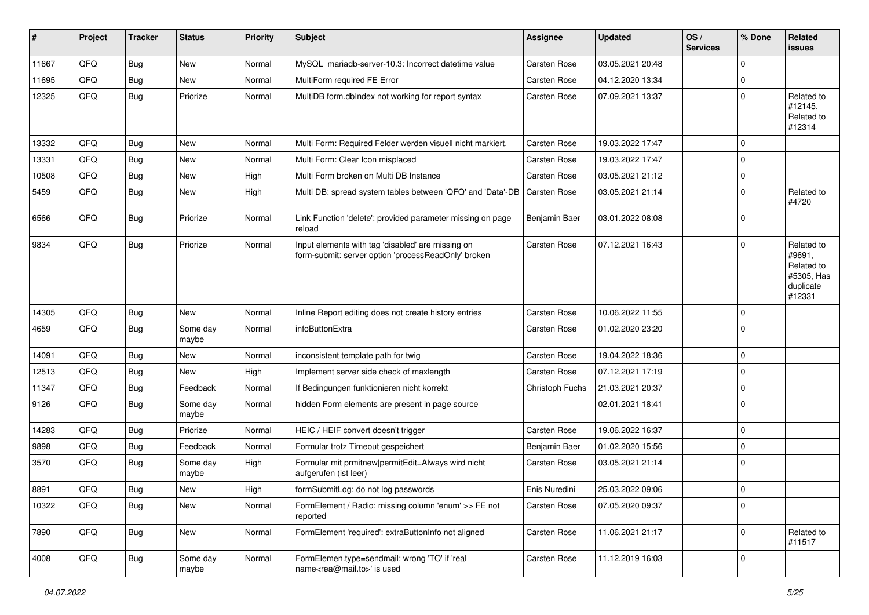| #     | Project | <b>Tracker</b> | <b>Status</b>     | <b>Priority</b> | <b>Subject</b>                                                                                           | <b>Assignee</b>     | <b>Updated</b>   | OS/<br><b>Services</b> | % Done      | Related<br><b>issues</b>                                                |
|-------|---------|----------------|-------------------|-----------------|----------------------------------------------------------------------------------------------------------|---------------------|------------------|------------------------|-------------|-------------------------------------------------------------------------|
| 11667 | QFQ     | Bug            | <b>New</b>        | Normal          | MySQL mariadb-server-10.3: Incorrect datetime value                                                      | Carsten Rose        | 03.05.2021 20:48 |                        | $\Omega$    |                                                                         |
| 11695 | QFQ     | Bug            | New               | Normal          | MultiForm required FE Error                                                                              | Carsten Rose        | 04.12.2020 13:34 |                        | $\mathbf 0$ |                                                                         |
| 12325 | QFQ     | Bug            | Priorize          | Normal          | MultiDB form.dblndex not working for report syntax                                                       | Carsten Rose        | 07.09.2021 13:37 |                        | $\Omega$    | Related to<br>#12145,<br>Related to<br>#12314                           |
| 13332 | QFQ     | Bug            | <b>New</b>        | Normal          | Multi Form: Required Felder werden visuell nicht markiert.                                               | Carsten Rose        | 19.03.2022 17:47 |                        | $\mathbf 0$ |                                                                         |
| 13331 | QFQ     | Bug            | <b>New</b>        | Normal          | Multi Form: Clear Icon misplaced                                                                         | Carsten Rose        | 19.03.2022 17:47 |                        | $\Omega$    |                                                                         |
| 10508 | QFQ     | Bug            | <b>New</b>        | High            | Multi Form broken on Multi DB Instance                                                                   | Carsten Rose        | 03.05.2021 21:12 |                        | 0           |                                                                         |
| 5459  | QFQ     | Bug            | New               | High            | Multi DB: spread system tables between 'QFQ' and 'Data'-DB                                               | Carsten Rose        | 03.05.2021 21:14 |                        | 0           | Related to<br>#4720                                                     |
| 6566  | QFQ     | <b>Bug</b>     | Priorize          | Normal          | Link Function 'delete': provided parameter missing on page<br>reload                                     | Benjamin Baer       | 03.01.2022 08:08 |                        | $\Omega$    |                                                                         |
| 9834  | QFQ     | Bug            | Priorize          | Normal          | Input elements with tag 'disabled' are missing on<br>form-submit: server option 'processReadOnly' broken | Carsten Rose        | 07.12.2021 16:43 |                        | l 0         | Related to<br>#9691,<br>Related to<br>#5305, Has<br>duplicate<br>#12331 |
| 14305 | QFQ     | Bug            | <b>New</b>        | Normal          | Inline Report editing does not create history entries                                                    | Carsten Rose        | 10.06.2022 11:55 |                        | $\mathbf 0$ |                                                                         |
| 4659  | QFQ     | <b>Bug</b>     | Some day<br>maybe | Normal          | infoButtonExtra                                                                                          | Carsten Rose        | 01.02.2020 23:20 |                        | $\Omega$    |                                                                         |
| 14091 | QFQ     | Bug            | <b>New</b>        | Normal          | inconsistent template path for twig                                                                      | Carsten Rose        | 19.04.2022 18:36 |                        | 0           |                                                                         |
| 12513 | QFQ     | <b>Bug</b>     | New               | High            | Implement server side check of maxlength                                                                 | Carsten Rose        | 07.12.2021 17:19 |                        | $\mathbf 0$ |                                                                         |
| 11347 | QFQ     | <b>Bug</b>     | Feedback          | Normal          | If Bedingungen funktionieren nicht korrekt                                                               | Christoph Fuchs     | 21.03.2021 20:37 |                        | $\mathbf 0$ |                                                                         |
| 9126  | QFQ     | <b>Bug</b>     | Some day<br>maybe | Normal          | hidden Form elements are present in page source                                                          |                     | 02.01.2021 18:41 |                        | $\Omega$    |                                                                         |
| 14283 | QFQ     | <b>Bug</b>     | Priorize          | Normal          | HEIC / HEIF convert doesn't trigger                                                                      | Carsten Rose        | 19.06.2022 16:37 |                        | $\mathbf 0$ |                                                                         |
| 9898  | QFQ     | <b>Bug</b>     | Feedback          | Normal          | Formular trotz Timeout gespeichert                                                                       | Benjamin Baer       | 01.02.2020 15:56 |                        | $\mathbf 0$ |                                                                         |
| 3570  | QFQ     | <b>Bug</b>     | Some day<br>maybe | High            | Formular mit prmitnew permitEdit=Always wird nicht<br>aufgerufen (ist leer)                              | <b>Carsten Rose</b> | 03.05.2021 21:14 |                        | $\Omega$    |                                                                         |
| 8891  | QFG     | Bug            | New               | High            | formSubmitLog: do not log passwords                                                                      | Enis Nuredini       | 25.03.2022 09:06 |                        | 0           |                                                                         |
| 10322 | QFQ     | <b>Bug</b>     | New               | Normal          | FormElement / Radio: missing column 'enum' >> FE not<br>reported                                         | Carsten Rose        | 07.05.2020 09:37 |                        | $\mathbf 0$ |                                                                         |
| 7890  | QFQ     | Bug            | New               | Normal          | FormElement 'required': extraButtonInfo not aligned                                                      | Carsten Rose        | 11.06.2021 21:17 |                        | $\mathbf 0$ | Related to<br>#11517                                                    |
| 4008  | QFQ     | Bug            | Some day<br>maybe | Normal          | FormElemen.type=sendmail: wrong 'TO' if 'real<br>name <rea@mail.to>' is used</rea@mail.to>               | Carsten Rose        | 11.12.2019 16:03 |                        | 0           |                                                                         |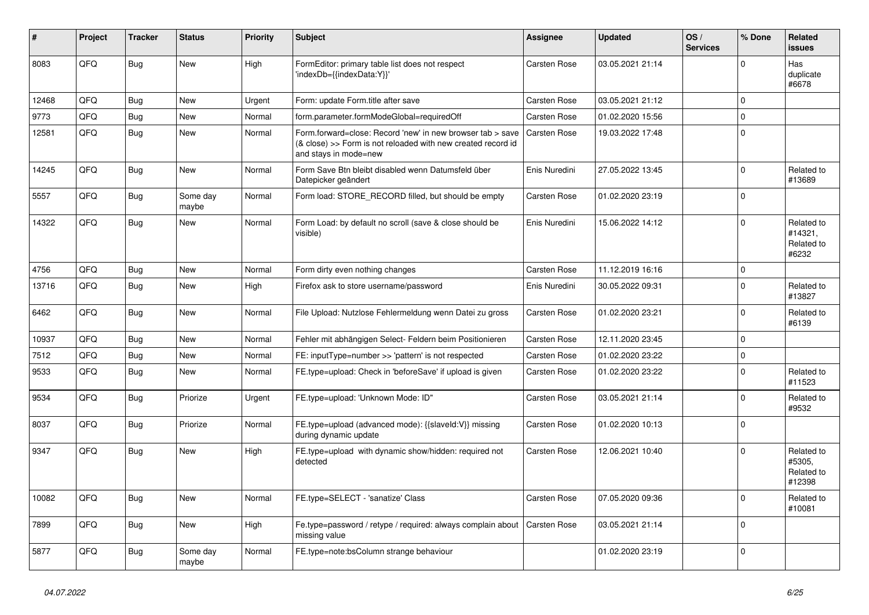| $\vert$ # | Project | <b>Tracker</b> | <b>Status</b>     | <b>Priority</b> | <b>Subject</b>                                                                                                                                      | Assignee            | <b>Updated</b>   | OS/<br><b>Services</b> | % Done         | Related<br><b>issues</b>                     |
|-----------|---------|----------------|-------------------|-----------------|-----------------------------------------------------------------------------------------------------------------------------------------------------|---------------------|------------------|------------------------|----------------|----------------------------------------------|
| 8083      | QFQ     | Bug            | <b>New</b>        | High            | FormEditor: primary table list does not respect<br>'indexDb={{indexData:Y}}'                                                                        | Carsten Rose        | 03.05.2021 21:14 |                        | $\Omega$       | Has<br>duplicate<br>#6678                    |
| 12468     | QFQ     | Bug            | New               | Urgent          | Form: update Form.title after save                                                                                                                  | Carsten Rose        | 03.05.2021 21:12 |                        | $\Omega$       |                                              |
| 9773      | QFQ     | Bug            | <b>New</b>        | Normal          | form.parameter.formModeGlobal=requiredOff                                                                                                           | Carsten Rose        | 01.02.2020 15:56 |                        | $\Omega$       |                                              |
| 12581     | QFQ     | Bug            | <b>New</b>        | Normal          | Form.forward=close: Record 'new' in new browser tab > save<br>(& close) >> Form is not reloaded with new created record id<br>and stays in mode=new | <b>Carsten Rose</b> | 19.03.2022 17:48 |                        | 0              |                                              |
| 14245     | QFQ     | <b>Bug</b>     | <b>New</b>        | Normal          | Form Save Btn bleibt disabled wenn Datumsfeld über<br>Datepicker geändert                                                                           | Enis Nuredini       | 27.05.2022 13:45 |                        | $\overline{0}$ | Related to<br>#13689                         |
| 5557      | QFQ     | <b>Bug</b>     | Some day<br>maybe | Normal          | Form load: STORE RECORD filled, but should be empty                                                                                                 | Carsten Rose        | 01.02.2020 23:19 |                        | $\Omega$       |                                              |
| 14322     | QFQ     | <b>Bug</b>     | <b>New</b>        | Normal          | Form Load: by default no scroll (save & close should be<br>visible)                                                                                 | Enis Nuredini       | 15.06.2022 14:12 |                        | $\overline{0}$ | Related to<br>#14321,<br>Related to<br>#6232 |
| 4756      | QFQ     | Bug            | <b>New</b>        | Normal          | Form dirty even nothing changes                                                                                                                     | Carsten Rose        | 11.12.2019 16:16 |                        | $\mathbf 0$    |                                              |
| 13716     | QFQ     | Bug            | <b>New</b>        | High            | Firefox ask to store username/password                                                                                                              | Enis Nuredini       | 30.05.2022 09:31 |                        | $\Omega$       | Related to<br>#13827                         |
| 6462      | QFQ     | Bug            | <b>New</b>        | Normal          | File Upload: Nutzlose Fehlermeldung wenn Datei zu gross                                                                                             | <b>Carsten Rose</b> | 01.02.2020 23:21 |                        | $\overline{0}$ | Related to<br>#6139                          |
| 10937     | QFQ     | Bug            | <b>New</b>        | Normal          | Fehler mit abhängigen Select- Feldern beim Positionieren                                                                                            | Carsten Rose        | 12.11.2020 23:45 |                        | $\Omega$       |                                              |
| 7512      | QFQ     | Bug            | <b>New</b>        | Normal          | FE: inputType=number >> 'pattern' is not respected                                                                                                  | Carsten Rose        | 01.02.2020 23:22 |                        | 0              |                                              |
| 9533      | QFQ     | Bug            | <b>New</b>        | Normal          | FE.type=upload: Check in 'beforeSave' if upload is given                                                                                            | Carsten Rose        | 01.02.2020 23:22 |                        | $\Omega$       | Related to<br>#11523                         |
| 9534      | QFQ     | Bug            | Priorize          | Urgent          | FE.type=upload: 'Unknown Mode: ID"                                                                                                                  | Carsten Rose        | 03.05.2021 21:14 |                        | $\Omega$       | Related to<br>#9532                          |
| 8037      | QFQ     | <b>Bug</b>     | Priorize          | Normal          | FE.type=upload (advanced mode): {{slaveld:V}} missing<br>during dynamic update                                                                      | Carsten Rose        | 01.02.2020 10:13 |                        | 0              |                                              |
| 9347      | QFQ     | Bug            | <b>New</b>        | High            | FE.type=upload with dynamic show/hidden: required not<br>detected                                                                                   | Carsten Rose        | 12.06.2021 10:40 |                        | $\Omega$       | Related to<br>#5305,<br>Related to<br>#12398 |
| 10082     | QFQ     | Bug            | <b>New</b>        | Normal          | FE.type=SELECT - 'sanatize' Class                                                                                                                   | Carsten Rose        | 07.05.2020 09:36 |                        | $\Omega$       | Related to<br>#10081                         |
| 7899      | QFQ     | Bug            | <b>New</b>        | High            | Fe.type=password / retype / required: always complain about<br>missing value                                                                        | Carsten Rose        | 03.05.2021 21:14 |                        | $\mathbf 0$    |                                              |
| 5877      | QFQ     | <b>Bug</b>     | Some day<br>maybe | Normal          | FE.type=note:bsColumn strange behaviour                                                                                                             |                     | 01.02.2020 23:19 |                        | $\Omega$       |                                              |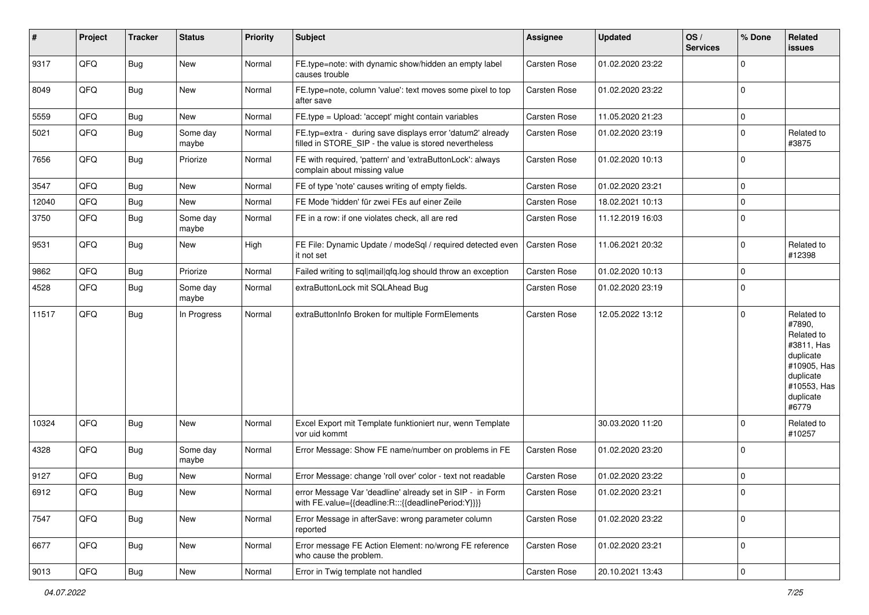| #     | Project        | <b>Tracker</b> | <b>Status</b>     | <b>Priority</b> | Subject                                                                                                              | <b>Assignee</b> | <b>Updated</b>   | OS/<br><b>Services</b> | % Done         | Related<br>issues                                                                                                              |
|-------|----------------|----------------|-------------------|-----------------|----------------------------------------------------------------------------------------------------------------------|-----------------|------------------|------------------------|----------------|--------------------------------------------------------------------------------------------------------------------------------|
| 9317  | QFQ            | Bug            | <b>New</b>        | Normal          | FE.type=note: with dynamic show/hidden an empty label<br>causes trouble                                              | Carsten Rose    | 01.02.2020 23:22 |                        | $\Omega$       |                                                                                                                                |
| 8049  | QFQ            | Bug            | New               | Normal          | FE.type=note, column 'value': text moves some pixel to top<br>after save                                             | Carsten Rose    | 01.02.2020 23:22 |                        | $\Omega$       |                                                                                                                                |
| 5559  | QFQ            | <b>Bug</b>     | New               | Normal          | FE.type = Upload: 'accept' might contain variables                                                                   | Carsten Rose    | 11.05.2020 21:23 |                        | $\mathbf 0$    |                                                                                                                                |
| 5021  | QFQ            | Bug            | Some day<br>maybe | Normal          | FE.typ=extra - during save displays error 'datum2' already<br>filled in STORE SIP - the value is stored nevertheless | Carsten Rose    | 01.02.2020 23:19 |                        | $\Omega$       | Related to<br>#3875                                                                                                            |
| 7656  | QFQ            | <b>Bug</b>     | Priorize          | Normal          | FE with required, 'pattern' and 'extraButtonLock': always<br>complain about missing value                            | Carsten Rose    | 01.02.2020 10:13 |                        | $\Omega$       |                                                                                                                                |
| 3547  | QFQ            | <b>Bug</b>     | New               | Normal          | FE of type 'note' causes writing of empty fields.                                                                    | Carsten Rose    | 01.02.2020 23:21 |                        | $\mathbf 0$    |                                                                                                                                |
| 12040 | QFQ            | <b>Bug</b>     | New               | Normal          | FE Mode 'hidden' für zwei FEs auf einer Zeile                                                                        | Carsten Rose    | 18.02.2021 10:13 |                        | $\mathbf 0$    |                                                                                                                                |
| 3750  | QFQ            | <b>Bug</b>     | Some day<br>maybe | Normal          | FE in a row: if one violates check, all are red                                                                      | Carsten Rose    | 11.12.2019 16:03 |                        | $\Omega$       |                                                                                                                                |
| 9531  | QFQ            | Bug            | New               | High            | FE File: Dynamic Update / modeSql / required detected even<br>it not set                                             | Carsten Rose    | 11.06.2021 20:32 |                        | $\Omega$       | Related to<br>#12398                                                                                                           |
| 9862  | QFQ            | <b>Bug</b>     | Priorize          | Normal          | Failed writing to sql mail qfq.log should throw an exception                                                         | Carsten Rose    | 01.02.2020 10:13 |                        | $\Omega$       |                                                                                                                                |
| 4528  | QFQ            | Bug            | Some day<br>maybe | Normal          | extraButtonLock mit SQLAhead Bug                                                                                     | Carsten Rose    | 01.02.2020 23:19 |                        | $\Omega$       |                                                                                                                                |
| 11517 | QFQ            | Bug            | In Progress       | Normal          | extraButtonInfo Broken for multiple FormElements                                                                     | Carsten Rose    | 12.05.2022 13:12 |                        | $\Omega$       | Related to<br>#7890,<br>Related to<br>#3811, Has<br>duplicate<br>#10905, Has<br>duplicate<br>#10553, Has<br>duplicate<br>#6779 |
| 10324 | QFQ            | <b>Bug</b>     | New               | Normal          | Excel Export mit Template funktioniert nur, wenn Template<br>vor uid kommt                                           |                 | 30.03.2020 11:20 |                        | 0              | Related to<br>#10257                                                                                                           |
| 4328  | QFQ            | Bug            | Some day<br>maybe | Normal          | Error Message: Show FE name/number on problems in FE                                                                 | Carsten Rose    | 01.02.2020 23:20 |                        | $\Omega$       |                                                                                                                                |
| 9127  | QFQ            | <b>Bug</b>     | New               | Normal          | Error Message: change 'roll over' color - text not readable                                                          | Carsten Rose    | 01.02.2020 23:22 |                        | 0              |                                                                                                                                |
| 6912  | QFQ            | <b>Bug</b>     | New               | Normal          | error Message Var 'deadline' already set in SIP - in Form<br>with FE.value={{deadline:R:::{{deadlinePeriod:Y}}}}     | Carsten Rose    | 01.02.2020 23:21 |                        |                |                                                                                                                                |
| 7547  | QFQ            | Bug            | New               | Normal          | Error Message in afterSave: wrong parameter column<br>reported                                                       | Carsten Rose    | 01.02.2020 23:22 |                        | $\mathbf 0$    |                                                                                                                                |
| 6677  | QFQ            | Bug            | New               | Normal          | Error message FE Action Element: no/wrong FE reference<br>who cause the problem.                                     | Carsten Rose    | 01.02.2020 23:21 |                        | 0              |                                                                                                                                |
| 9013  | $\mathsf{QFQ}$ | Bug            | New               | Normal          | Error in Twig template not handled                                                                                   | Carsten Rose    | 20.10.2021 13:43 |                        | $\overline{0}$ |                                                                                                                                |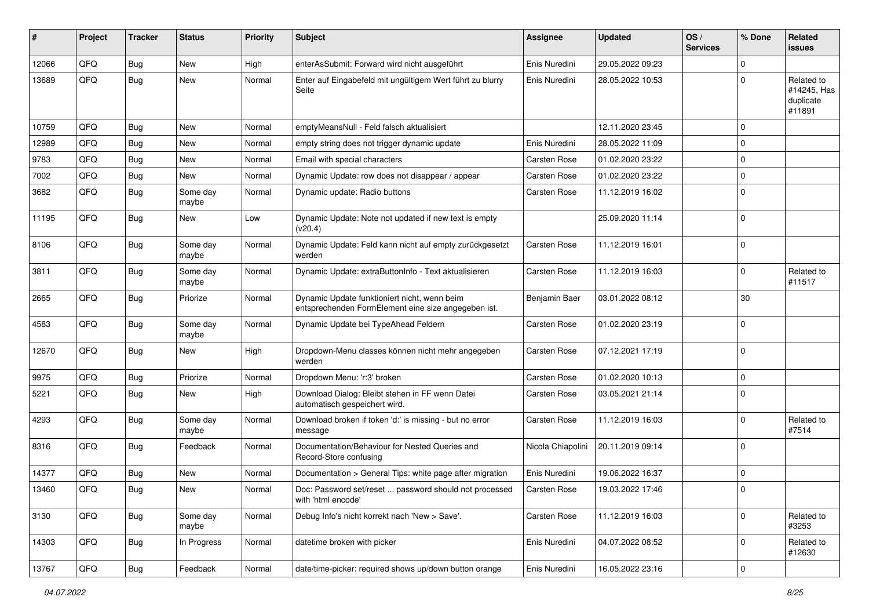| #     | Project | <b>Tracker</b> | <b>Status</b>     | <b>Priority</b> | Subject                                                                                             | Assignee            | <b>Updated</b>   | OS/<br><b>Services</b> | % Done      | Related<br>issues                                |
|-------|---------|----------------|-------------------|-----------------|-----------------------------------------------------------------------------------------------------|---------------------|------------------|------------------------|-------------|--------------------------------------------------|
| 12066 | QFQ     | Bug            | New               | High            | enterAsSubmit: Forward wird nicht ausgeführt                                                        | Enis Nuredini       | 29.05.2022 09:23 |                        | $\Omega$    |                                                  |
| 13689 | QFQ     | Bug            | New               | Normal          | Enter auf Eingabefeld mit ungültigem Wert führt zu blurry<br>Seite                                  | Enis Nuredini       | 28.05.2022 10:53 |                        | $\Omega$    | Related to<br>#14245, Has<br>duplicate<br>#11891 |
| 10759 | QFQ     | Bug            | New               | Normal          | emptyMeansNull - Feld falsch aktualisiert                                                           |                     | 12.11.2020 23:45 |                        | $\Omega$    |                                                  |
| 12989 | QFQ     | Bug            | New               | Normal          | empty string does not trigger dynamic update                                                        | Enis Nuredini       | 28.05.2022 11:09 |                        | $\Omega$    |                                                  |
| 9783  | QFQ     | Bug            | New               | Normal          | Email with special characters                                                                       | Carsten Rose        | 01.02.2020 23:22 |                        | $\Omega$    |                                                  |
| 7002  | QFQ     | <b>Bug</b>     | New               | Normal          | Dynamic Update: row does not disappear / appear                                                     | <b>Carsten Rose</b> | 01.02.2020 23:22 |                        | $\mathbf 0$ |                                                  |
| 3682  | QFQ     | <b>Bug</b>     | Some day<br>maybe | Normal          | Dynamic update: Radio buttons                                                                       | <b>Carsten Rose</b> | 11.12.2019 16:02 |                        | $\Omega$    |                                                  |
| 11195 | QFQ     | <b>Bug</b>     | New               | Low             | Dynamic Update: Note not updated if new text is empty<br>(v20.4)                                    |                     | 25.09.2020 11:14 |                        | $\Omega$    |                                                  |
| 8106  | QFQ     | Bug            | Some day<br>maybe | Normal          | Dynamic Update: Feld kann nicht auf empty zurückgesetzt<br>werden                                   | Carsten Rose        | 11.12.2019 16:01 |                        | $\Omega$    |                                                  |
| 3811  | QFQ     | <b>Bug</b>     | Some day<br>maybe | Normal          | Dynamic Update: extraButtonInfo - Text aktualisieren                                                | Carsten Rose        | 11.12.2019 16:03 |                        | $\Omega$    | Related to<br>#11517                             |
| 2665  | QFQ     | <b>Bug</b>     | Priorize          | Normal          | Dynamic Update funktioniert nicht, wenn beim<br>entsprechenden FormElement eine size angegeben ist. | Benjamin Baer       | 03.01.2022 08:12 |                        | 30          |                                                  |
| 4583  | QFQ     | Bug            | Some day<br>maybe | Normal          | Dynamic Update bei TypeAhead Feldern                                                                | <b>Carsten Rose</b> | 01.02.2020 23:19 |                        | $\mathbf 0$ |                                                  |
| 12670 | QFQ     | Bug            | New               | High            | Dropdown-Menu classes können nicht mehr angegeben<br>werden                                         | <b>Carsten Rose</b> | 07.12.2021 17:19 |                        | $\Omega$    |                                                  |
| 9975  | QFQ     | Bug            | Priorize          | Normal          | Dropdown Menu: 'r:3' broken                                                                         | Carsten Rose        | 01.02.2020 10:13 |                        | $\mathbf 0$ |                                                  |
| 5221  | QFQ     | <b>Bug</b>     | New               | High            | Download Dialog: Bleibt stehen in FF wenn Datei<br>automatisch gespeichert wird.                    | Carsten Rose        | 03.05.2021 21:14 |                        | $\Omega$    |                                                  |
| 4293  | QFQ     | Bug            | Some day<br>maybe | Normal          | Download broken if token 'd:' is missing - but no error<br>message                                  | <b>Carsten Rose</b> | 11.12.2019 16:03 |                        | $\Omega$    | Related to<br>#7514                              |
| 8316  | QFQ     | <b>Bug</b>     | Feedback          | Normal          | Documentation/Behaviour for Nested Queries and<br>Record-Store confusing                            | Nicola Chiapolini   | 20.11.2019 09:14 |                        | $\Omega$    |                                                  |
| 14377 | QFQ     | <b>Bug</b>     | New               | Normal          | Documentation > General Tips: white page after migration                                            | Enis Nuredini       | 19.06.2022 16:37 |                        | $\mathbf 0$ |                                                  |
| 13460 | QFQ     | Bug            | New               | Normal          | Doc: Password set/reset  password should not processed<br>with 'html encode'                        | Carsten Rose        | 19.03.2022 17:46 |                        | I٥          |                                                  |
| 3130  | QFQ     | <b>Bug</b>     | Some day<br>maybe | Normal          | Debug Info's nicht korrekt nach 'New > Save'.                                                       | Carsten Rose        | 11.12.2019 16:03 |                        | 0           | Related to<br>#3253                              |
| 14303 | QFQ     | Bug            | In Progress       | Normal          | datetime broken with picker                                                                         | Enis Nuredini       | 04.07.2022 08:52 |                        | $\mathbf 0$ | Related to<br>#12630                             |
| 13767 | QFQ     | <b>Bug</b>     | Feedback          | Normal          | date/time-picker: required shows up/down button orange                                              | Enis Nuredini       | 16.05.2022 23:16 |                        | 0           |                                                  |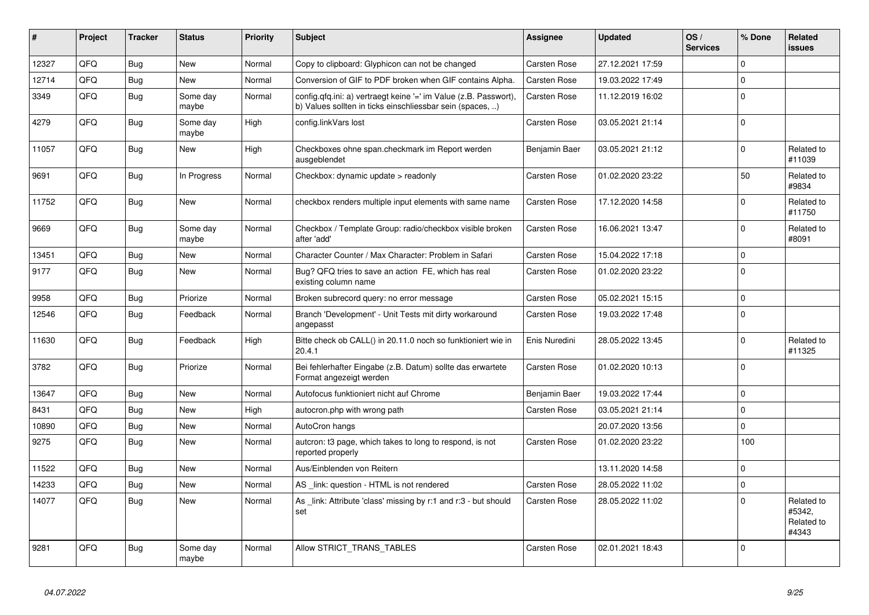| #     | Project | <b>Tracker</b> | <b>Status</b>     | <b>Priority</b> | <b>Subject</b>                                                                                                                | Assignee            | <b>Updated</b>   | OS/<br><b>Services</b> | % Done      | <b>Related</b><br><b>issues</b>             |
|-------|---------|----------------|-------------------|-----------------|-------------------------------------------------------------------------------------------------------------------------------|---------------------|------------------|------------------------|-------------|---------------------------------------------|
| 12327 | QFQ     | Bug            | New               | Normal          | Copy to clipboard: Glyphicon can not be changed                                                                               | Carsten Rose        | 27.12.2021 17:59 |                        | $\Omega$    |                                             |
| 12714 | QFQ     | <b>Bug</b>     | New               | Normal          | Conversion of GIF to PDF broken when GIF contains Alpha.                                                                      | Carsten Rose        | 19.03.2022 17:49 |                        | $\mathbf 0$ |                                             |
| 3349  | QFQ     | Bug            | Some day<br>maybe | Normal          | config.qfq.ini: a) vertraegt keine '=' im Value (z.B. Passwort),<br>b) Values sollten in ticks einschliessbar sein (spaces, ) | Carsten Rose        | 11.12.2019 16:02 |                        | $\mathbf 0$ |                                             |
| 4279  | QFQ     | Bug            | Some day<br>maybe | High            | config.linkVars lost                                                                                                          | Carsten Rose        | 03.05.2021 21:14 |                        | $\Omega$    |                                             |
| 11057 | QFQ     | Bug            | <b>New</b>        | High            | Checkboxes ohne span.checkmark im Report werden<br>ausgeblendet                                                               | Benjamin Baer       | 03.05.2021 21:12 |                        | $\mathbf 0$ | Related to<br>#11039                        |
| 9691  | QFQ     | <b>Bug</b>     | In Progress       | Normal          | Checkbox: dynamic update > readonly                                                                                           | Carsten Rose        | 01.02.2020 23:22 |                        | 50          | Related to<br>#9834                         |
| 11752 | QFQ     | <b>Bug</b>     | New               | Normal          | checkbox renders multiple input elements with same name                                                                       | Carsten Rose        | 17.12.2020 14:58 |                        | $\mathbf 0$ | Related to<br>#11750                        |
| 9669  | QFQ     | Bug            | Some day<br>maybe | Normal          | Checkbox / Template Group: radio/checkbox visible broken<br>after 'add'                                                       | Carsten Rose        | 16.06.2021 13:47 |                        | $\mathbf 0$ | Related to<br>#8091                         |
| 13451 | QFQ     | Bug            | <b>New</b>        | Normal          | Character Counter / Max Character: Problem in Safari                                                                          | <b>Carsten Rose</b> | 15.04.2022 17:18 |                        | $\mathbf 0$ |                                             |
| 9177  | QFQ     | <b>Bug</b>     | <b>New</b>        | Normal          | Bug? QFQ tries to save an action FE, which has real<br>existing column name                                                   | Carsten Rose        | 01.02.2020 23:22 |                        | $\mathbf 0$ |                                             |
| 9958  | QFQ     | <b>Bug</b>     | Priorize          | Normal          | Broken subrecord query: no error message                                                                                      | <b>Carsten Rose</b> | 05.02.2021 15:15 |                        | $\Omega$    |                                             |
| 12546 | QFQ     | <b>Bug</b>     | Feedback          | Normal          | Branch 'Development' - Unit Tests mit dirty workaround<br>angepasst                                                           | Carsten Rose        | 19.03.2022 17:48 |                        | $\mathbf 0$ |                                             |
| 11630 | QFQ     | Bug            | Feedback          | High            | Bitte check ob CALL() in 20.11.0 noch so funktioniert wie in<br>20.4.1                                                        | Enis Nuredini       | 28.05.2022 13:45 |                        | $\mathbf 0$ | Related to<br>#11325                        |
| 3782  | QFQ     | <b>Bug</b>     | Priorize          | Normal          | Bei fehlerhafter Eingabe (z.B. Datum) sollte das erwartete<br>Format angezeigt werden                                         | Carsten Rose        | 01.02.2020 10:13 |                        | $\Omega$    |                                             |
| 13647 | QFQ     | Bug            | <b>New</b>        | Normal          | Autofocus funktioniert nicht auf Chrome                                                                                       | Benjamin Baer       | 19.03.2022 17:44 |                        | $\Omega$    |                                             |
| 8431  | QFQ     | <b>Bug</b>     | <b>New</b>        | High            | autocron.php with wrong path                                                                                                  | Carsten Rose        | 03.05.2021 21:14 |                        | $\mathbf 0$ |                                             |
| 10890 | QFQ     | Bug            | <b>New</b>        | Normal          | AutoCron hangs                                                                                                                |                     | 20.07.2020 13:56 |                        | $\mathbf 0$ |                                             |
| 9275  | QFQ     | Bug            | <b>New</b>        | Normal          | autcron: t3 page, which takes to long to respond, is not<br>reported properly                                                 | Carsten Rose        | 01.02.2020 23:22 |                        | 100         |                                             |
| 11522 | QFQ     | <b>Bug</b>     | <b>New</b>        | Normal          | Aus/Einblenden von Reitern                                                                                                    |                     | 13.11.2020 14:58 |                        | $\mathbf 0$ |                                             |
| 14233 | QFQ     | Bug            | <b>New</b>        | Normal          | AS _link: question - HTML is not rendered                                                                                     | Carsten Rose        | 28.05.2022 11:02 |                        | $\mathbf 0$ |                                             |
| 14077 | QFQ     | <b>Bug</b>     | New               | Normal          | As link: Attribute 'class' missing by r:1 and r:3 - but should<br>set                                                         | Carsten Rose        | 28.05.2022 11:02 |                        | $\mathbf 0$ | Related to<br>#5342.<br>Related to<br>#4343 |
| 9281  | QFQ     | <b>Bug</b>     | Some day<br>maybe | Normal          | Allow STRICT TRANS TABLES                                                                                                     | Carsten Rose        | 02.01.2021 18:43 |                        | $\Omega$    |                                             |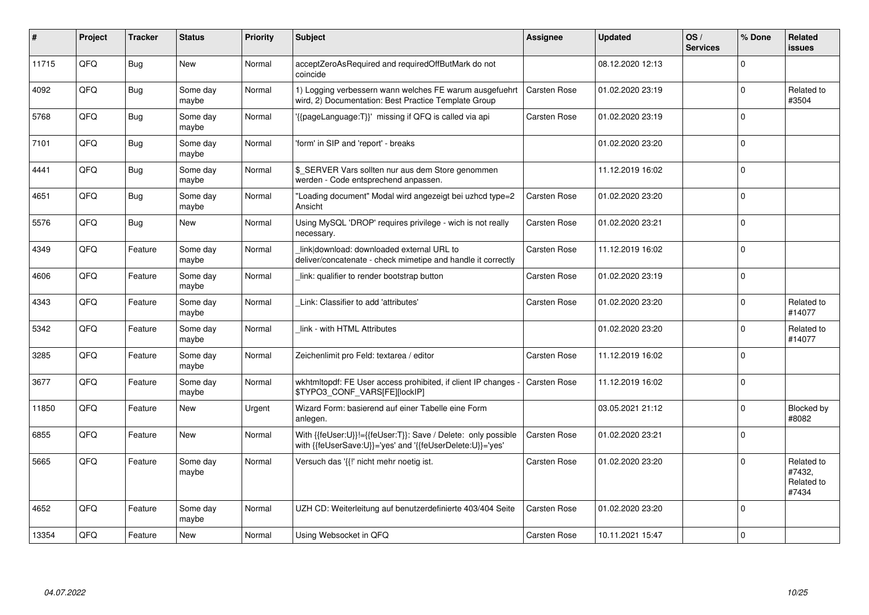| #     | Project | <b>Tracker</b> | <b>Status</b>     | <b>Priority</b> | Subject                                                                                                                    | <b>Assignee</b>     | <b>Updated</b>   | OS/<br><b>Services</b> | % Done       | Related<br><b>issues</b>                    |
|-------|---------|----------------|-------------------|-----------------|----------------------------------------------------------------------------------------------------------------------------|---------------------|------------------|------------------------|--------------|---------------------------------------------|
| 11715 | QFQ     | Bug            | New               | Normal          | acceptZeroAsRequired and requiredOffButMark do not<br>coincide                                                             |                     | 08.12.2020 12:13 |                        | <sup>0</sup> |                                             |
| 4092  | QFQ     | Bug            | Some day<br>maybe | Normal          | 1) Logging verbessern wann welches FE warum ausgefuehrt<br>wird, 2) Documentation: Best Practice Template Group            | Carsten Rose        | 01.02.2020 23:19 |                        | $\Omega$     | Related to<br>#3504                         |
| 5768  | QFQ     | <b>Bug</b>     | Some day<br>maybe | Normal          | '{{pageLanguage:T}}' missing if QFQ is called via api                                                                      | Carsten Rose        | 01.02.2020 23:19 |                        | $\Omega$     |                                             |
| 7101  | QFQ     | Bug            | Some day<br>maybe | Normal          | 'form' in SIP and 'report' - breaks                                                                                        |                     | 01.02.2020 23:20 |                        | $\Omega$     |                                             |
| 4441  | QFQ     | Bug            | Some day<br>maybe | Normal          | \$ SERVER Vars sollten nur aus dem Store genommen<br>werden - Code entsprechend anpassen.                                  |                     | 11.12.2019 16:02 |                        | $\Omega$     |                                             |
| 4651  | QFQ     | <b>Bug</b>     | Some day<br>maybe | Normal          | "Loading document" Modal wird angezeigt bei uzhcd type=2<br>Ansicht                                                        | Carsten Rose        | 01.02.2020 23:20 |                        | $\Omega$     |                                             |
| 5576  | QFQ     | Bug            | New               | Normal          | Using MySQL 'DROP' requires privilege - wich is not really<br>necessary.                                                   | Carsten Rose        | 01.02.2020 23:21 |                        | 0            |                                             |
| 4349  | QFQ     | Feature        | Some day<br>maybe | Normal          | link download: downloaded external URL to<br>deliver/concatenate - check mimetipe and handle it correctly                  | <b>Carsten Rose</b> | 11.12.2019 16:02 |                        | $\Omega$     |                                             |
| 4606  | QFQ     | Feature        | Some day<br>maybe | Normal          | link: qualifier to render bootstrap button                                                                                 | <b>Carsten Rose</b> | 01.02.2020 23:19 |                        | $\Omega$     |                                             |
| 4343  | QFQ     | Feature        | Some day<br>maybe | Normal          | Link: Classifier to add 'attributes'                                                                                       | <b>Carsten Rose</b> | 01.02.2020 23:20 |                        | 0            | Related to<br>#14077                        |
| 5342  | QFQ     | Feature        | Some day<br>maybe | Normal          | link - with HTML Attributes                                                                                                |                     | 01.02.2020 23:20 |                        | 0            | Related to<br>#14077                        |
| 3285  | QFQ     | Feature        | Some day<br>maybe | Normal          | Zeichenlimit pro Feld: textarea / editor                                                                                   | Carsten Rose        | 11.12.2019 16:02 |                        | $\Omega$     |                                             |
| 3677  | QFQ     | Feature        | Some day<br>maybe | Normal          | wkhtmltopdf: FE User access prohibited, if client IP changes -<br>\$TYPO3_CONF_VARS[FE][lockIP]                            | <b>Carsten Rose</b> | 11.12.2019 16:02 |                        | $\Omega$     |                                             |
| 11850 | QFQ     | Feature        | New               | Urgent          | Wizard Form: basierend auf einer Tabelle eine Form<br>anlegen.                                                             |                     | 03.05.2021 21:12 |                        | $\Omega$     | Blocked by<br>#8082                         |
| 6855  | QFQ     | Feature        | New               | Normal          | With {{feUser:U}}!={{feUser:T}}: Save / Delete: only possible<br>with {{feUserSave:U}}='yes' and '{{feUserDelete:U}}='yes' | Carsten Rose        | 01.02.2020 23:21 |                        | $\Omega$     |                                             |
| 5665  | QFQ     | Feature        | Some day<br>maybe | Normal          | Versuch das '{{!' nicht mehr noetig ist.                                                                                   | <b>Carsten Rose</b> | 01.02.2020 23:20 |                        | $\Omega$     | Related to<br>#7432,<br>Related to<br>#7434 |
| 4652  | QFQ     | Feature        | Some day<br>maybe | Normal          | UZH CD: Weiterleitung auf benutzerdefinierte 403/404 Seite                                                                 | Carsten Rose        | 01.02.2020 23:20 |                        | $\Omega$     |                                             |
| 13354 | QFQ     | Feature        | New               | Normal          | Using Websocket in QFQ                                                                                                     | <b>Carsten Rose</b> | 10.11.2021 15:47 |                        | 0            |                                             |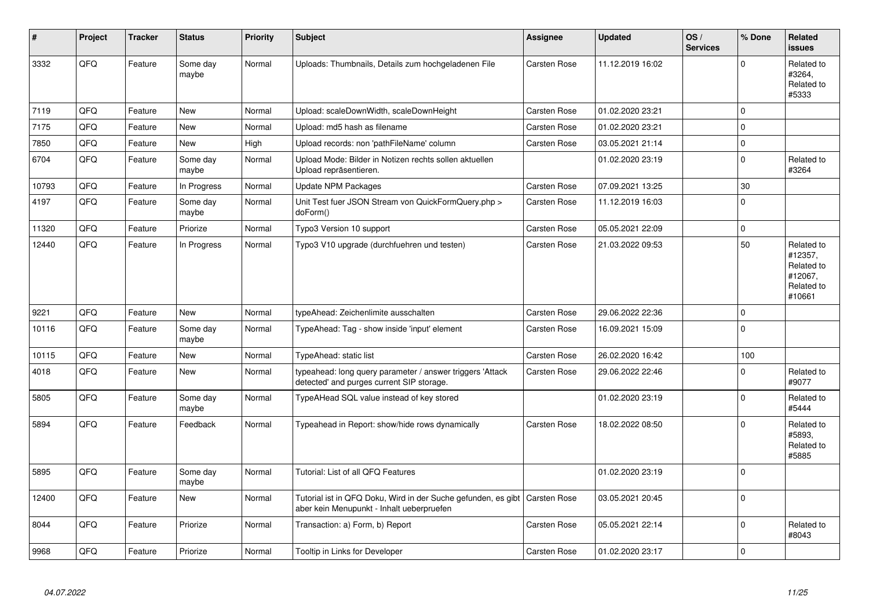| #     | Project | <b>Tracker</b> | <b>Status</b>     | <b>Priority</b> | Subject                                                                                                    | Assignee     | <b>Updated</b>   | OS/<br><b>Services</b> | % Done      | Related<br>issues                                                      |
|-------|---------|----------------|-------------------|-----------------|------------------------------------------------------------------------------------------------------------|--------------|------------------|------------------------|-------------|------------------------------------------------------------------------|
| 3332  | QFQ     | Feature        | Some day<br>maybe | Normal          | Uploads: Thumbnails, Details zum hochgeladenen File                                                        | Carsten Rose | 11.12.2019 16:02 |                        | $\Omega$    | Related to<br>#3264,<br>Related to<br>#5333                            |
| 7119  | QFQ     | Feature        | <b>New</b>        | Normal          | Upload: scaleDownWidth, scaleDownHeight                                                                    | Carsten Rose | 01.02.2020 23:21 |                        | $\Omega$    |                                                                        |
| 7175  | QFQ     | Feature        | <b>New</b>        | Normal          | Upload: md5 hash as filename                                                                               | Carsten Rose | 01.02.2020 23:21 |                        | $\Omega$    |                                                                        |
| 7850  | QFQ     | Feature        | <b>New</b>        | High            | Upload records: non 'pathFileName' column                                                                  | Carsten Rose | 03.05.2021 21:14 |                        | $\mathbf 0$ |                                                                        |
| 6704  | QFQ     | Feature        | Some day<br>maybe | Normal          | Upload Mode: Bilder in Notizen rechts sollen aktuellen<br>Upload repräsentieren.                           |              | 01.02.2020 23:19 |                        | $\Omega$    | Related to<br>#3264                                                    |
| 10793 | QFQ     | Feature        | In Progress       | Normal          | <b>Update NPM Packages</b>                                                                                 | Carsten Rose | 07.09.2021 13:25 |                        | 30          |                                                                        |
| 4197  | QFQ     | Feature        | Some day<br>maybe | Normal          | Unit Test fuer JSON Stream von QuickFormQuery.php ><br>doForm()                                            | Carsten Rose | 11.12.2019 16:03 |                        | $\Omega$    |                                                                        |
| 11320 | QFQ     | Feature        | Priorize          | Normal          | Typo3 Version 10 support                                                                                   | Carsten Rose | 05.05.2021 22:09 |                        | $\Omega$    |                                                                        |
| 12440 | QFQ     | Feature        | In Progress       | Normal          | Typo3 V10 upgrade (durchfuehren und testen)                                                                | Carsten Rose | 21.03.2022 09:53 |                        | 50          | Related to<br>#12357,<br>Related to<br>#12067.<br>Related to<br>#10661 |
| 9221  | QFQ     | Feature        | <b>New</b>        | Normal          | typeAhead: Zeichenlimite ausschalten                                                                       | Carsten Rose | 29.06.2022 22:36 |                        | $\Omega$    |                                                                        |
| 10116 | QFQ     | Feature        | Some day<br>maybe | Normal          | TypeAhead: Tag - show inside 'input' element                                                               | Carsten Rose | 16.09.2021 15:09 |                        | $\Omega$    |                                                                        |
| 10115 | QFQ     | Feature        | <b>New</b>        | Normal          | TypeAhead: static list                                                                                     | Carsten Rose | 26.02.2020 16:42 |                        | 100         |                                                                        |
| 4018  | QFQ     | Feature        | <b>New</b>        | Normal          | typeahead: long query parameter / answer triggers 'Attack<br>detected' and purges current SIP storage.     | Carsten Rose | 29.06.2022 22:46 |                        | $\Omega$    | Related to<br>#9077                                                    |
| 5805  | QFQ     | Feature        | Some day<br>maybe | Normal          | TypeAHead SQL value instead of key stored                                                                  |              | 01.02.2020 23:19 |                        | $\Omega$    | Related to<br>#5444                                                    |
| 5894  | QFQ     | Feature        | Feedback          | Normal          | Typeahead in Report: show/hide rows dynamically                                                            | Carsten Rose | 18.02.2022 08:50 |                        | $\Omega$    | Related to<br>#5893.<br>Related to<br>#5885                            |
| 5895  | QFQ     | Feature        | Some day<br>maybe | Normal          | Tutorial: List of all QFQ Features                                                                         |              | 01.02.2020 23:19 |                        | $\Omega$    |                                                                        |
| 12400 | QFQ     | Feature        | <b>New</b>        | Normal          | Tutorial ist in QFQ Doku, Wird in der Suche gefunden, es gibt<br>aber kein Menupunkt - Inhalt ueberpruefen | Carsten Rose | 03.05.2021 20:45 |                        | $\Omega$    |                                                                        |
| 8044  | QFQ     | Feature        | Priorize          | Normal          | Transaction: a) Form, b) Report                                                                            | Carsten Rose | 05.05.2021 22:14 |                        | $\Omega$    | Related to<br>#8043                                                    |
| 9968  | QFQ     | Feature        | Priorize          | Normal          | Tooltip in Links for Developer                                                                             | Carsten Rose | 01.02.2020 23:17 |                        | $\Omega$    |                                                                        |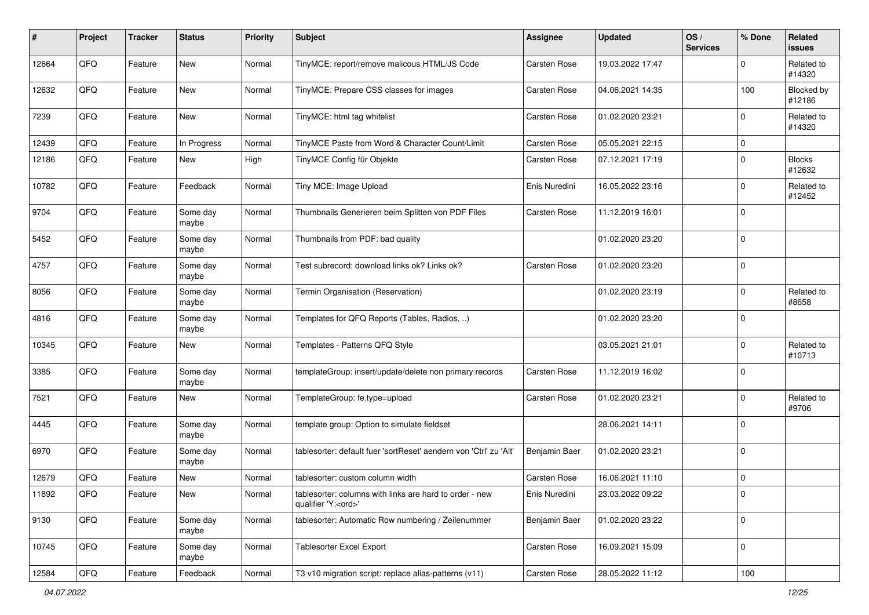| #     | Project | <b>Tracker</b> | <b>Status</b>     | <b>Priority</b> | <b>Subject</b>                                                                        | <b>Assignee</b> | <b>Updated</b>   | OS/<br><b>Services</b> | % Done      | Related<br>issues       |
|-------|---------|----------------|-------------------|-----------------|---------------------------------------------------------------------------------------|-----------------|------------------|------------------------|-------------|-------------------------|
| 12664 | QFQ     | Feature        | <b>New</b>        | Normal          | TinyMCE: report/remove malicous HTML/JS Code                                          | Carsten Rose    | 19.03.2022 17:47 |                        | O           | Related to<br>#14320    |
| 12632 | QFQ     | Feature        | New               | Normal          | TinyMCE: Prepare CSS classes for images                                               | Carsten Rose    | 04.06.2021 14:35 |                        | 100         | Blocked by<br>#12186    |
| 7239  | QFQ     | Feature        | New               | Normal          | TinyMCE: html tag whitelist                                                           | Carsten Rose    | 01.02.2020 23:21 |                        | $\Omega$    | Related to<br>#14320    |
| 12439 | QFQ     | Feature        | In Progress       | Normal          | TinyMCE Paste from Word & Character Count/Limit                                       | Carsten Rose    | 05.05.2021 22:15 |                        | $\mathbf 0$ |                         |
| 12186 | QFQ     | Feature        | New               | High            | TinyMCE Config für Objekte                                                            | Carsten Rose    | 07.12.2021 17:19 |                        | $\Omega$    | <b>Blocks</b><br>#12632 |
| 10782 | QFQ     | Feature        | Feedback          | Normal          | Tiny MCE: Image Upload                                                                | Enis Nuredini   | 16.05.2022 23:16 |                        | $\Omega$    | Related to<br>#12452    |
| 9704  | QFQ     | Feature        | Some day<br>maybe | Normal          | Thumbnails Generieren beim Splitten von PDF Files                                     | Carsten Rose    | 11.12.2019 16:01 |                        | $\mathbf 0$ |                         |
| 5452  | QFQ     | Feature        | Some day<br>maybe | Normal          | Thumbnails from PDF: bad quality                                                      |                 | 01.02.2020 23:20 |                        | $\mathbf 0$ |                         |
| 4757  | QFQ     | Feature        | Some day<br>maybe | Normal          | Test subrecord: download links ok? Links ok?                                          | Carsten Rose    | 01.02.2020 23:20 |                        | $\Omega$    |                         |
| 8056  | QFQ     | Feature        | Some day<br>maybe | Normal          | Termin Organisation (Reservation)                                                     |                 | 01.02.2020 23:19 |                        | $\Omega$    | Related to<br>#8658     |
| 4816  | QFQ     | Feature        | Some day<br>maybe | Normal          | Templates for QFQ Reports (Tables, Radios, )                                          |                 | 01.02.2020 23:20 |                        | $\Omega$    |                         |
| 10345 | QFQ     | Feature        | New               | Normal          | Templates - Patterns QFQ Style                                                        |                 | 03.05.2021 21:01 |                        | $\Omega$    | Related to<br>#10713    |
| 3385  | QFQ     | Feature        | Some day<br>maybe | Normal          | templateGroup: insert/update/delete non primary records                               | Carsten Rose    | 11.12.2019 16:02 |                        | $\Omega$    |                         |
| 7521  | QFQ     | Feature        | <b>New</b>        | Normal          | TemplateGroup: fe.type=upload                                                         | Carsten Rose    | 01.02.2020 23:21 |                        | $\Omega$    | Related to<br>#9706     |
| 4445  | QFQ     | Feature        | Some day<br>maybe | Normal          | template group: Option to simulate fieldset                                           |                 | 28.06.2021 14:11 |                        | $\Omega$    |                         |
| 6970  | QFQ     | Feature        | Some day<br>maybe | Normal          | tablesorter: default fuer 'sortReset' aendern von 'Ctrl' zu 'Alt'                     | Benjamin Baer   | 01.02.2020 23:21 |                        | $\Omega$    |                         |
| 12679 | QFQ     | Feature        | New               | Normal          | tablesorter: custom column width                                                      | Carsten Rose    | 16.06.2021 11:10 |                        | $\mathbf 0$ |                         |
| 11892 | QFG     | Feature        | New               | Normal          | tablesorter: columns with links are hard to order - new<br>qualifier 'Y: <ord>'</ord> | Enis Nuredini   | 23.03.2022 09:22 |                        | 0           |                         |
| 9130  | QFQ     | Feature        | Some day<br>maybe | Normal          | tablesorter: Automatic Row numbering / Zeilenummer                                    | Benjamin Baer   | 01.02.2020 23:22 |                        | 0           |                         |
| 10745 | QFQ     | Feature        | Some day<br>maybe | Normal          | Tablesorter Excel Export                                                              | Carsten Rose    | 16.09.2021 15:09 |                        | 0           |                         |
| 12584 | QFQ     | Feature        | Feedback          | Normal          | T3 v10 migration script: replace alias-patterns (v11)                                 | Carsten Rose    | 28.05.2022 11:12 |                        | 100         |                         |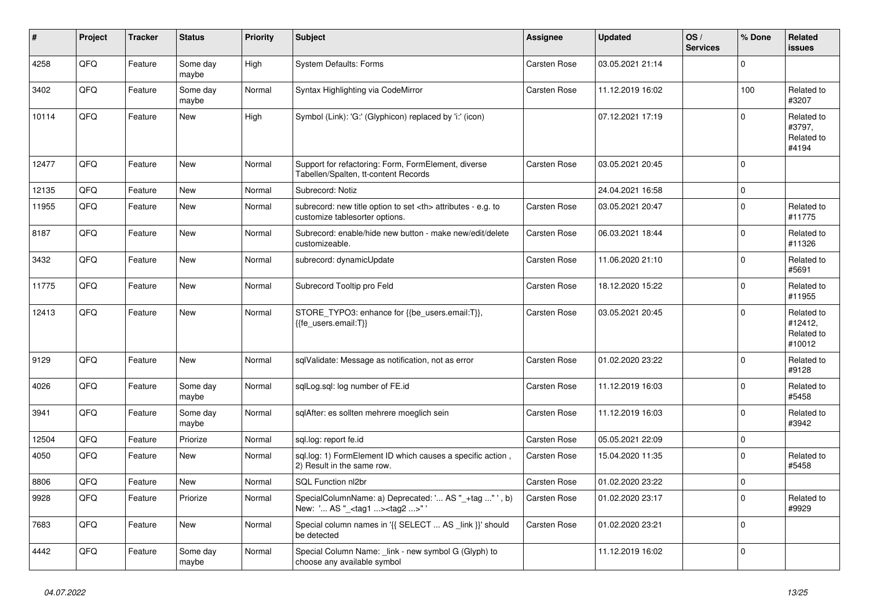| #     | Project | <b>Tracker</b> | <b>Status</b>     | <b>Priority</b> | <b>Subject</b>                                                                                       | Assignee                                               | <b>Updated</b>   | OS/<br><b>Services</b> | % Done      | Related<br>issues                             |                      |
|-------|---------|----------------|-------------------|-----------------|------------------------------------------------------------------------------------------------------|--------------------------------------------------------|------------------|------------------------|-------------|-----------------------------------------------|----------------------|
| 4258  | QFQ     | Feature        | Some day<br>maybe | High            | <b>System Defaults: Forms</b>                                                                        | Carsten Rose                                           | 03.05.2021 21:14 |                        | $\Omega$    |                                               |                      |
| 3402  | QFQ     | Feature        | Some day<br>maybe | Normal          | Syntax Highlighting via CodeMirror                                                                   | Carsten Rose                                           | 11.12.2019 16:02 |                        | 100         | Related to<br>#3207                           |                      |
| 10114 | QFQ     | Feature        | New               | High            | Symbol (Link): 'G:' (Glyphicon) replaced by 'i:' (icon)                                              |                                                        | 07.12.2021 17:19 |                        | $\Omega$    | Related to<br>#3797,<br>Related to<br>#4194   |                      |
| 12477 | QFQ     | Feature        | New               | Normal          | Support for refactoring: Form, FormElement, diverse<br>Tabellen/Spalten, tt-content Records          | Carsten Rose                                           | 03.05.2021 20:45 |                        | $\Omega$    |                                               |                      |
| 12135 | QFQ     | Feature        | <b>New</b>        | Normal          | Subrecord: Notiz                                                                                     |                                                        | 24.04.2021 16:58 |                        | $\Omega$    |                                               |                      |
| 11955 | QFQ     | Feature        | <b>New</b>        | Normal          | subrecord: new title option to set <th> attributes - e.g. to<br/>customize tablesorter options.</th> | attributes - e.g. to<br>customize tablesorter options. | Carsten Rose     | 03.05.2021 20:47       |             | $\Omega$                                      | Related to<br>#11775 |
| 8187  | QFQ     | Feature        | <b>New</b>        | Normal          | Subrecord: enable/hide new button - make new/edit/delete<br>customizeable.                           | Carsten Rose                                           | 06.03.2021 18:44 |                        | $\Omega$    | Related to<br>#11326                          |                      |
| 3432  | QFQ     | Feature        | <b>New</b>        | Normal          | subrecord: dynamicUpdate                                                                             | Carsten Rose                                           | 11.06.2020 21:10 |                        | $\Omega$    | Related to<br>#5691                           |                      |
| 11775 | QFQ     | Feature        | New               | Normal          | Subrecord Tooltip pro Feld                                                                           | Carsten Rose                                           | 18.12.2020 15:22 |                        | $\Omega$    | Related to<br>#11955                          |                      |
| 12413 | QFQ     | Feature        | <b>New</b>        | Normal          | STORE_TYPO3: enhance for {{be_users.email:T}},<br>{{fe_users.email:T}}                               | <b>Carsten Rose</b>                                    | 03.05.2021 20:45 |                        | $\Omega$    | Related to<br>#12412,<br>Related to<br>#10012 |                      |
| 9129  | QFQ     | Feature        | <b>New</b>        | Normal          | sqlValidate: Message as notification, not as error                                                   | <b>Carsten Rose</b>                                    | 01.02.2020 23:22 |                        | $\Omega$    | Related to<br>#9128                           |                      |
| 4026  | QFQ     | Feature        | Some day<br>maybe | Normal          | sqlLog.sql: log number of FE.id                                                                      | <b>Carsten Rose</b>                                    | 11.12.2019 16:03 |                        | $\Omega$    | Related to<br>#5458                           |                      |
| 3941  | QFQ     | Feature        | Some day<br>maybe | Normal          | sglAfter: es sollten mehrere moeglich sein                                                           | Carsten Rose                                           | 11.12.2019 16:03 |                        | $\Omega$    | Related to<br>#3942                           |                      |
| 12504 | QFQ     | Feature        | Priorize          | Normal          | sql.log: report fe.id                                                                                | <b>Carsten Rose</b>                                    | 05.05.2021 22:09 |                        | $\mathbf 0$ |                                               |                      |
| 4050  | QFQ     | Feature        | New               | Normal          | sql.log: 1) FormElement ID which causes a specific action,<br>2) Result in the same row.             | Carsten Rose                                           | 15.04.2020 11:35 |                        | $\Omega$    | Related to<br>#5458                           |                      |
| 8806  | QFQ     | Feature        | <b>New</b>        | Normal          | SQL Function nl2br                                                                                   | <b>Carsten Rose</b>                                    | 01.02.2020 23:22 |                        | $\mathbf 0$ |                                               |                      |
| 9928  | QFQ     | Feature        | Priorize          | Normal          | SpecialColumnName: a) Deprecated: ' AS "_+tag " ', b)<br>New: ' AS "_ <tag1><tag2>"'</tag2></tag1>   | Carsten Rose                                           | 01.02.2020 23:17 |                        | $\Omega$    | Related to<br>#9929                           |                      |
| 7683  | QFQ     | Feature        | <b>New</b>        | Normal          | Special column names in '{{ SELECT  AS _link }}' should<br>be detected                               | <b>Carsten Rose</b>                                    | 01.02.2020 23:21 |                        | $\Omega$    |                                               |                      |
| 4442  | QFQ     | Feature        | Some day<br>maybe | Normal          | Special Column Name: _link - new symbol G (Glyph) to<br>choose any available symbol                  |                                                        | 11.12.2019 16:02 |                        | $\Omega$    |                                               |                      |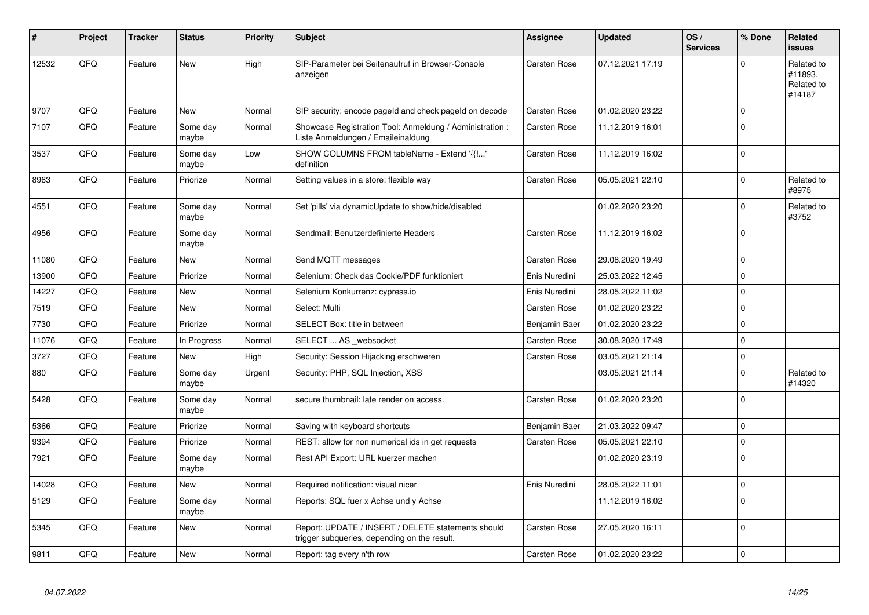| #     | Project | <b>Tracker</b> | <b>Status</b>     | <b>Priority</b> | Subject                                                                                            | Assignee      | <b>Updated</b>   | OS/<br><b>Services</b> | % Done      | Related<br><b>issues</b>                      |
|-------|---------|----------------|-------------------|-----------------|----------------------------------------------------------------------------------------------------|---------------|------------------|------------------------|-------------|-----------------------------------------------|
| 12532 | QFQ     | Feature        | <b>New</b>        | High            | SIP-Parameter bei Seitenaufruf in Browser-Console<br>anzeigen                                      | Carsten Rose  | 07.12.2021 17:19 |                        | $\Omega$    | Related to<br>#11893.<br>Related to<br>#14187 |
| 9707  | QFQ     | Feature        | <b>New</b>        | Normal          | SIP security: encode pageld and check pageld on decode                                             | Carsten Rose  | 01.02.2020 23:22 |                        | $\mathbf 0$ |                                               |
| 7107  | QFQ     | Feature        | Some day<br>maybe | Normal          | Showcase Registration Tool: Anmeldung / Administration :<br>Liste Anmeldungen / Emaileinaldung     | Carsten Rose  | 11.12.2019 16:01 |                        | $\Omega$    |                                               |
| 3537  | QFQ     | Feature        | Some day<br>maybe | Low             | SHOW COLUMNS FROM tableName - Extend '{{!'<br>definition                                           | Carsten Rose  | 11.12.2019 16:02 |                        | $\Omega$    |                                               |
| 8963  | QFQ     | Feature        | Priorize          | Normal          | Setting values in a store: flexible way                                                            | Carsten Rose  | 05.05.2021 22:10 |                        | $\Omega$    | Related to<br>#8975                           |
| 4551  | QFQ     | Feature        | Some day<br>maybe | Normal          | Set 'pills' via dynamicUpdate to show/hide/disabled                                                |               | 01.02.2020 23:20 |                        | $\Omega$    | Related to<br>#3752                           |
| 4956  | QFQ     | Feature        | Some day<br>maybe | Normal          | Sendmail: Benutzerdefinierte Headers                                                               | Carsten Rose  | 11.12.2019 16:02 |                        | $\Omega$    |                                               |
| 11080 | QFQ     | Feature        | <b>New</b>        | Normal          | Send MQTT messages                                                                                 | Carsten Rose  | 29.08.2020 19:49 |                        | $\mathbf 0$ |                                               |
| 13900 | QFQ     | Feature        | Priorize          | Normal          | Selenium: Check das Cookie/PDF funktioniert                                                        | Enis Nuredini | 25.03.2022 12:45 |                        | $\Omega$    |                                               |
| 14227 | QFQ     | Feature        | <b>New</b>        | Normal          | Selenium Konkurrenz: cypress.io                                                                    | Enis Nuredini | 28.05.2022 11:02 |                        | $\Omega$    |                                               |
| 7519  | QFQ     | Feature        | New               | Normal          | Select: Multi                                                                                      | Carsten Rose  | 01.02.2020 23:22 |                        | $\Omega$    |                                               |
| 7730  | QFQ     | Feature        | Priorize          | Normal          | SELECT Box: title in between                                                                       | Benjamin Baer | 01.02.2020 23:22 |                        | $\Omega$    |                                               |
| 11076 | QFQ     | Feature        | In Progress       | Normal          | SELECT  AS _websocket                                                                              | Carsten Rose  | 30.08.2020 17:49 |                        | $\Omega$    |                                               |
| 3727  | QFQ     | Feature        | <b>New</b>        | High            | Security: Session Hijacking erschweren                                                             | Carsten Rose  | 03.05.2021 21:14 |                        | $\mathbf 0$ |                                               |
| 880   | QFQ     | Feature        | Some day<br>maybe | Urgent          | Security: PHP, SQL Injection, XSS                                                                  |               | 03.05.2021 21:14 |                        | $\Omega$    | Related to<br>#14320                          |
| 5428  | QFQ     | Feature        | Some day<br>maybe | Normal          | secure thumbnail: late render on access.                                                           | Carsten Rose  | 01.02.2020 23:20 |                        | $\Omega$    |                                               |
| 5366  | QFQ     | Feature        | Priorize          | Normal          | Saving with keyboard shortcuts                                                                     | Benjamin Baer | 21.03.2022 09:47 |                        | $\Omega$    |                                               |
| 9394  | QFQ     | Feature        | Priorize          | Normal          | REST: allow for non numerical ids in get requests                                                  | Carsten Rose  | 05.05.2021 22:10 |                        | $\mathbf 0$ |                                               |
| 7921  | QFQ     | Feature        | Some day<br>maybe | Normal          | Rest API Export: URL kuerzer machen                                                                |               | 01.02.2020 23:19 |                        | $\Omega$    |                                               |
| 14028 | QFQ     | Feature        | <b>New</b>        | Normal          | Required notification: visual nicer                                                                | Enis Nuredini | 28.05.2022 11:01 |                        | $\Omega$    |                                               |
| 5129  | QFQ     | Feature        | Some day<br>maybe | Normal          | Reports: SQL fuer x Achse und y Achse                                                              |               | 11.12.2019 16:02 |                        | $\Omega$    |                                               |
| 5345  | QFQ     | Feature        | <b>New</b>        | Normal          | Report: UPDATE / INSERT / DELETE statements should<br>trigger subqueries, depending on the result. | Carsten Rose  | 27.05.2020 16:11 |                        | $\mathbf 0$ |                                               |
| 9811  | QFQ     | Feature        | New               | Normal          | Report: tag every n'th row                                                                         | Carsten Rose  | 01.02.2020 23:22 |                        | $\mathbf 0$ |                                               |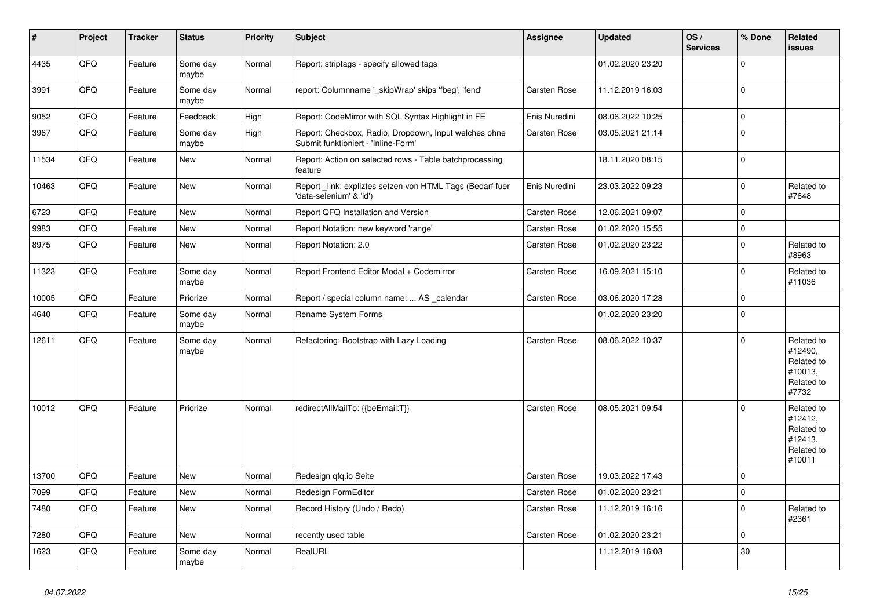| #     | Project | <b>Tracker</b> | <b>Status</b>     | <b>Priority</b> | <b>Subject</b>                                                                               | Assignee            | <b>Updated</b>   | OS/<br><b>Services</b> | % Done         | Related<br><b>issues</b>                                               |
|-------|---------|----------------|-------------------|-----------------|----------------------------------------------------------------------------------------------|---------------------|------------------|------------------------|----------------|------------------------------------------------------------------------|
| 4435  | QFQ     | Feature        | Some day<br>maybe | Normal          | Report: striptags - specify allowed tags                                                     |                     | 01.02.2020 23:20 |                        | $\Omega$       |                                                                        |
| 3991  | QFQ     | Feature        | Some day<br>maybe | Normal          | report: Columnname '_skipWrap' skips 'fbeg', 'fend'                                          | Carsten Rose        | 11.12.2019 16:03 |                        | $\Omega$       |                                                                        |
| 9052  | QFQ     | Feature        | Feedback          | High            | Report: CodeMirror with SQL Syntax Highlight in FE                                           | Enis Nuredini       | 08.06.2022 10:25 |                        | $\mathbf 0$    |                                                                        |
| 3967  | QFQ     | Feature        | Some day<br>maybe | High            | Report: Checkbox, Radio, Dropdown, Input welches ohne<br>Submit funktioniert - 'Inline-Form' | Carsten Rose        | 03.05.2021 21:14 |                        | $\mathbf 0$    |                                                                        |
| 11534 | QFQ     | Feature        | New               | Normal          | Report: Action on selected rows - Table batchprocessing<br>feature                           |                     | 18.11.2020 08:15 |                        | $\Omega$       |                                                                        |
| 10463 | QFQ     | Feature        | New               | Normal          | Report _link: expliztes setzen von HTML Tags (Bedarf fuer<br>'data-selenium' & 'id')         | Enis Nuredini       | 23.03.2022 09:23 |                        | 0              | Related to<br>#7648                                                    |
| 6723  | QFQ     | Feature        | New               | Normal          | Report QFQ Installation and Version                                                          | Carsten Rose        | 12.06.2021 09:07 |                        | $\Omega$       |                                                                        |
| 9983  | QFQ     | Feature        | <b>New</b>        | Normal          | Report Notation: new keyword 'range'                                                         | Carsten Rose        | 01.02.2020 15:55 |                        | $\mathbf 0$    |                                                                        |
| 8975  | QFQ     | Feature        | New               | Normal          | Report Notation: 2.0                                                                         | Carsten Rose        | 01.02.2020 23:22 |                        | $\Omega$       | Related to<br>#8963                                                    |
| 11323 | QFQ     | Feature        | Some day<br>maybe | Normal          | Report Frontend Editor Modal + Codemirror                                                    | Carsten Rose        | 16.09.2021 15:10 |                        | $\mathbf 0$    | Related to<br>#11036                                                   |
| 10005 | QFQ     | Feature        | Priorize          | Normal          | Report / special column name:  AS calendar                                                   | <b>Carsten Rose</b> | 03.06.2020 17:28 |                        | $\mathbf 0$    |                                                                        |
| 4640  | QFQ     | Feature        | Some day<br>maybe | Normal          | Rename System Forms                                                                          |                     | 01.02.2020 23:20 |                        | $\overline{0}$ |                                                                        |
| 12611 | QFQ     | Feature        | Some day<br>maybe | Normal          | Refactoring: Bootstrap with Lazy Loading                                                     | Carsten Rose        | 08.06.2022 10:37 |                        | $\mathbf 0$    | Related to<br>#12490,<br>Related to<br>#10013.<br>Related to<br>#7732  |
| 10012 | QFQ     | Feature        | Priorize          | Normal          | redirectAllMailTo: {{beEmail:T}}                                                             | Carsten Rose        | 08.05.2021 09:54 |                        | $\Omega$       | Related to<br>#12412,<br>Related to<br>#12413.<br>Related to<br>#10011 |
| 13700 | QFQ     | Feature        | <b>New</b>        | Normal          | Redesign qfq.io Seite                                                                        | <b>Carsten Rose</b> | 19.03.2022 17:43 |                        | $\Omega$       |                                                                        |
| 7099  | QFQ     | Feature        | New               | Normal          | Redesign FormEditor                                                                          | Carsten Rose        | 01.02.2020 23:21 |                        | 0              |                                                                        |
| 7480  | QFQ     | Feature        | New               | Normal          | Record History (Undo / Redo)                                                                 | Carsten Rose        | 11.12.2019 16:16 |                        | $\overline{0}$ | Related to<br>#2361                                                    |
| 7280  | QFQ     | Feature        | New               | Normal          | recently used table                                                                          | Carsten Rose        | 01.02.2020 23:21 |                        | $\mathbf 0$    |                                                                        |
| 1623  | QFQ     | Feature        | Some day<br>maybe | Normal          | RealURL                                                                                      |                     | 11.12.2019 16:03 |                        | 30             |                                                                        |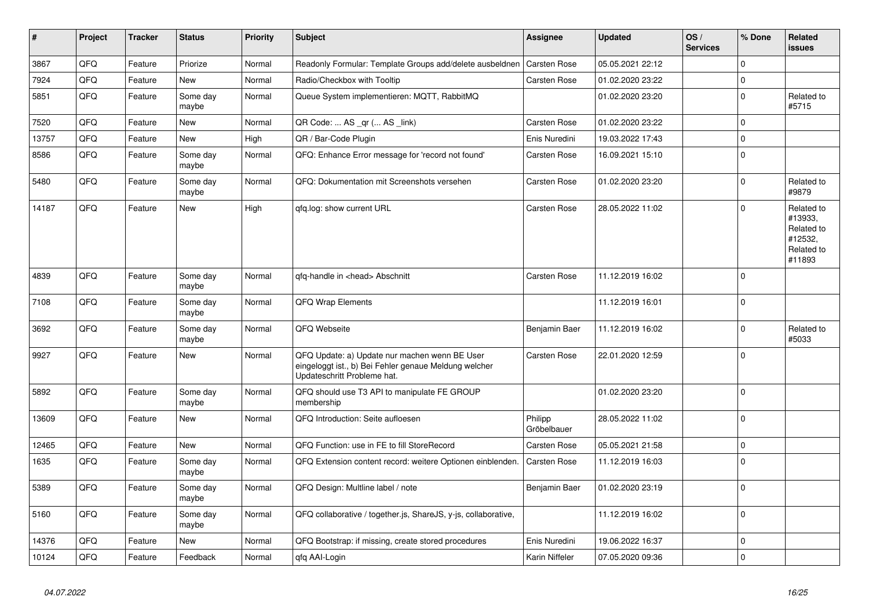| $\vert$ # | Project | <b>Tracker</b> | <b>Status</b>     | <b>Priority</b> | <b>Subject</b>                                                                                                                        | Assignee               | <b>Updated</b>   | OS/<br><b>Services</b> | % Done      | Related<br><b>issues</b>                                               |
|-----------|---------|----------------|-------------------|-----------------|---------------------------------------------------------------------------------------------------------------------------------------|------------------------|------------------|------------------------|-------------|------------------------------------------------------------------------|
| 3867      | QFQ     | Feature        | Priorize          | Normal          | Readonly Formular: Template Groups add/delete ausbeldnen                                                                              | <b>Carsten Rose</b>    | 05.05.2021 22:12 |                        | $\Omega$    |                                                                        |
| 7924      | QFQ     | Feature        | <b>New</b>        | Normal          | Radio/Checkbox with Tooltip                                                                                                           | Carsten Rose           | 01.02.2020 23:22 |                        | $\mathbf 0$ |                                                                        |
| 5851      | QFQ     | Feature        | Some day<br>maybe | Normal          | Queue System implementieren: MQTT, RabbitMQ                                                                                           |                        | 01.02.2020 23:20 |                        | $\mathbf 0$ | Related to<br>#5715                                                    |
| 7520      | QFQ     | Feature        | New               | Normal          | QR Code:  AS _qr ( AS _link)                                                                                                          | Carsten Rose           | 01.02.2020 23:22 |                        | $\Omega$    |                                                                        |
| 13757     | QFQ     | Feature        | <b>New</b>        | High            | QR / Bar-Code Plugin                                                                                                                  | Enis Nuredini          | 19.03.2022 17:43 |                        | $\mathbf 0$ |                                                                        |
| 8586      | QFQ     | Feature        | Some day<br>maybe | Normal          | QFQ: Enhance Error message for 'record not found'                                                                                     | Carsten Rose           | 16.09.2021 15:10 |                        | $\Omega$    |                                                                        |
| 5480      | QFQ     | Feature        | Some day<br>maybe | Normal          | QFQ: Dokumentation mit Screenshots versehen                                                                                           | Carsten Rose           | 01.02.2020 23:20 |                        | $\mathbf 0$ | Related to<br>#9879                                                    |
| 14187     | QFQ     | Feature        | <b>New</b>        | High            | gfg.log: show current URL                                                                                                             | Carsten Rose           | 28.05.2022 11:02 |                        | $\Omega$    | Related to<br>#13933,<br>Related to<br>#12532,<br>Related to<br>#11893 |
| 4839      | QFQ     | Feature        | Some day<br>maybe | Normal          | qfq-handle in <head> Abschnitt</head>                                                                                                 | Carsten Rose           | 11.12.2019 16:02 |                        | $\mathbf 0$ |                                                                        |
| 7108      | QFQ     | Feature        | Some day<br>maybe | Normal          | <b>QFQ Wrap Elements</b>                                                                                                              |                        | 11.12.2019 16:01 |                        | $\Omega$    |                                                                        |
| 3692      | QFQ     | Feature        | Some day<br>maybe | Normal          | QFQ Webseite                                                                                                                          | Benjamin Baer          | 11.12.2019 16:02 |                        | $\Omega$    | Related to<br>#5033                                                    |
| 9927      | QFQ     | Feature        | <b>New</b>        | Normal          | QFQ Update: a) Update nur machen wenn BE User<br>eingeloggt ist., b) Bei Fehler genaue Meldung welcher<br>Updateschritt Probleme hat. | Carsten Rose           | 22.01.2020 12:59 |                        | $\mathbf 0$ |                                                                        |
| 5892      | QFQ     | Feature        | Some day<br>maybe | Normal          | QFQ should use T3 API to manipulate FE GROUP<br>membership                                                                            |                        | 01.02.2020 23:20 |                        | $\Omega$    |                                                                        |
| 13609     | QFQ     | Feature        | <b>New</b>        | Normal          | QFQ Introduction: Seite aufloesen                                                                                                     | Philipp<br>Gröbelbauer | 28.05.2022 11:02 |                        | $\Omega$    |                                                                        |
| 12465     | QFQ     | Feature        | <b>New</b>        | Normal          | QFQ Function: use in FE to fill StoreRecord                                                                                           | Carsten Rose           | 05.05.2021 21:58 |                        | $\Omega$    |                                                                        |
| 1635      | QFQ     | Feature        | Some day<br>maybe | Normal          | QFQ Extension content record: weitere Optionen einblenden.                                                                            | <b>Carsten Rose</b>    | 11.12.2019 16:03 |                        | $\Omega$    |                                                                        |
| 5389      | QFQ     | Feature        | Some day<br>maybe | Normal          | QFQ Design: Multline label / note                                                                                                     | Benjamin Baer          | 01.02.2020 23:19 |                        | $\Omega$    |                                                                        |
| 5160      | QFQ     | Feature        | Some day<br>maybe | Normal          | QFQ collaborative / together.js, ShareJS, y-js, collaborative,                                                                        |                        | 11.12.2019 16:02 |                        | $\mathbf 0$ |                                                                        |
| 14376     | QFQ     | Feature        | <b>New</b>        | Normal          | QFQ Bootstrap: if missing, create stored procedures                                                                                   | Enis Nuredini          | 19.06.2022 16:37 |                        | $\mathbf 0$ |                                                                        |
| 10124     | QFQ     | Feature        | Feedback          | Normal          | qfq AAI-Login                                                                                                                         | Karin Niffeler         | 07.05.2020 09:36 |                        | $\mathbf 0$ |                                                                        |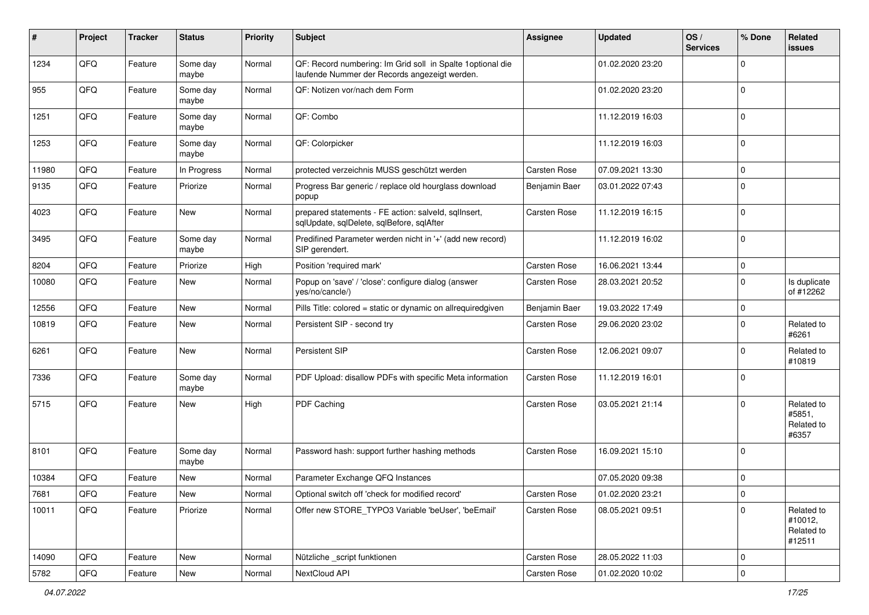| #     | Project | <b>Tracker</b> | <b>Status</b>     | <b>Priority</b> | <b>Subject</b>                                                                                               | <b>Assignee</b> | <b>Updated</b>   | OS/<br><b>Services</b> | % Done      | Related<br>issues                             |
|-------|---------|----------------|-------------------|-----------------|--------------------------------------------------------------------------------------------------------------|-----------------|------------------|------------------------|-------------|-----------------------------------------------|
| 1234  | QFQ     | Feature        | Some day<br>maybe | Normal          | QF: Record numbering: Im Grid soll in Spalte 1 optional die<br>laufende Nummer der Records angezeigt werden. |                 | 01.02.2020 23:20 |                        | $\Omega$    |                                               |
| 955   | QFQ     | Feature        | Some day<br>maybe | Normal          | QF: Notizen vor/nach dem Form                                                                                |                 | 01.02.2020 23:20 |                        | $\mathbf 0$ |                                               |
| 1251  | QFQ     | Feature        | Some day<br>maybe | Normal          | QF: Combo                                                                                                    |                 | 11.12.2019 16:03 |                        | $\Omega$    |                                               |
| 1253  | QFQ     | Feature        | Some day<br>maybe | Normal          | QF: Colorpicker                                                                                              |                 | 11.12.2019 16:03 |                        | $\mathbf 0$ |                                               |
| 11980 | QFQ     | Feature        | In Progress       | Normal          | protected verzeichnis MUSS geschützt werden                                                                  | Carsten Rose    | 07.09.2021 13:30 |                        | $\mathbf 0$ |                                               |
| 9135  | QFQ     | Feature        | Priorize          | Normal          | Progress Bar generic / replace old hourglass download<br>popup                                               | Benjamin Baer   | 03.01.2022 07:43 |                        | $\Omega$    |                                               |
| 4023  | QFQ     | Feature        | <b>New</b>        | Normal          | prepared statements - FE action: salveld, sqlInsert,<br>sqlUpdate, sqlDelete, sqlBefore, sqlAfter            | Carsten Rose    | 11.12.2019 16:15 |                        | $\mathbf 0$ |                                               |
| 3495  | QFQ     | Feature        | Some day<br>maybe | Normal          | Predifined Parameter werden nicht in '+' (add new record)<br>SIP gerendert.                                  |                 | 11.12.2019 16:02 |                        | $\mathbf 0$ |                                               |
| 8204  | QFQ     | Feature        | Priorize          | High            | Position 'required mark'                                                                                     | Carsten Rose    | 16.06.2021 13:44 |                        | 0           |                                               |
| 10080 | QFQ     | Feature        | New               | Normal          | Popup on 'save' / 'close': configure dialog (answer<br>yes/no/cancle/)                                       | Carsten Rose    | 28.03.2021 20:52 |                        | $\Omega$    | Is duplicate<br>of #12262                     |
| 12556 | QFQ     | Feature        | <b>New</b>        | Normal          | Pills Title: colored = static or dynamic on allrequiredgiven                                                 | Benjamin Baer   | 19.03.2022 17:49 |                        | $\Omega$    |                                               |
| 10819 | QFQ     | Feature        | New               | Normal          | Persistent SIP - second try                                                                                  | Carsten Rose    | 29.06.2020 23:02 |                        | $\Omega$    | Related to<br>#6261                           |
| 6261  | QFQ     | Feature        | <b>New</b>        | Normal          | <b>Persistent SIP</b>                                                                                        | Carsten Rose    | 12.06.2021 09:07 |                        | $\Omega$    | Related to<br>#10819                          |
| 7336  | QFQ     | Feature        | Some day<br>maybe | Normal          | PDF Upload: disallow PDFs with specific Meta information                                                     | Carsten Rose    | 11.12.2019 16:01 |                        | $\Omega$    |                                               |
| 5715  | QFQ     | Feature        | <b>New</b>        | High            | PDF Caching                                                                                                  | Carsten Rose    | 03.05.2021 21:14 |                        | $\Omega$    | Related to<br>#5851,<br>Related to<br>#6357   |
| 8101  | QFQ     | Feature        | Some day<br>maybe | Normal          | Password hash: support further hashing methods                                                               | Carsten Rose    | 16.09.2021 15:10 |                        | 0           |                                               |
| 10384 | QFQ     | Feature        | <b>New</b>        | Normal          | Parameter Exchange QFQ Instances                                                                             |                 | 07.05.2020 09:38 |                        | $\mathbf 0$ |                                               |
| 7681  | QFG     | Feature        | New               | Normal          | Optional switch off 'check for modified record'                                                              | Carsten Rose    | 01.02.2020 23:21 |                        | 1 O         |                                               |
| 10011 | QFQ     | Feature        | Priorize          | Normal          | Offer new STORE_TYPO3 Variable 'beUser', 'beEmail'                                                           | Carsten Rose    | 08.05.2021 09:51 |                        | $\Omega$    | Related to<br>#10012,<br>Related to<br>#12511 |
| 14090 | QFQ     | Feature        | New               | Normal          | Nützliche _script funktionen                                                                                 | Carsten Rose    | 28.05.2022 11:03 |                        | 0           |                                               |
| 5782  | QFG     | Feature        | New               | Normal          | NextCloud API                                                                                                | Carsten Rose    | 01.02.2020 10:02 |                        | 0           |                                               |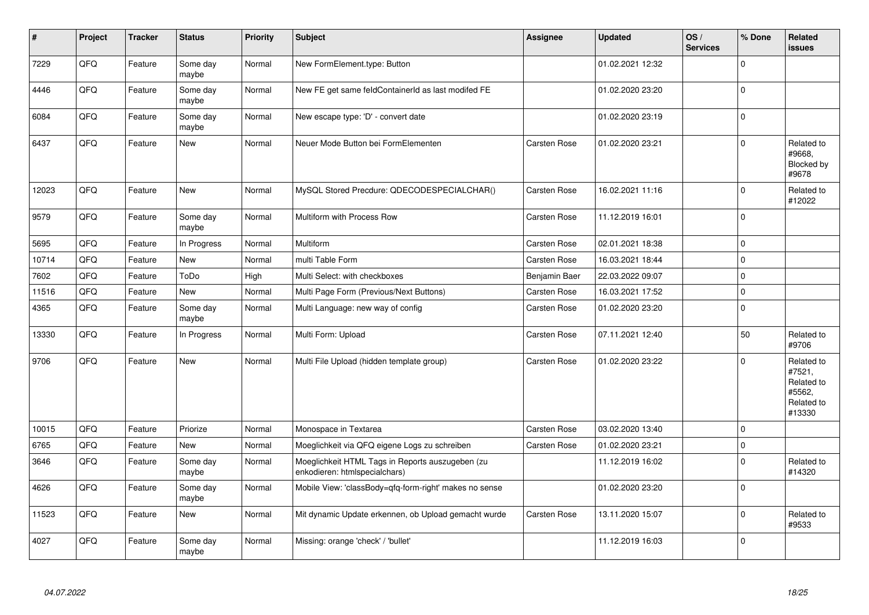| #     | Project | <b>Tracker</b> | <b>Status</b>     | <b>Priority</b> | <b>Subject</b>                                                                    | Assignee            | <b>Updated</b>   | OS/<br><b>Services</b> | % Done         | Related<br><b>issues</b>                                             |
|-------|---------|----------------|-------------------|-----------------|-----------------------------------------------------------------------------------|---------------------|------------------|------------------------|----------------|----------------------------------------------------------------------|
| 7229  | QFQ     | Feature        | Some day<br>maybe | Normal          | New FormElement.type: Button                                                      |                     | 01.02.2021 12:32 |                        | $\Omega$       |                                                                      |
| 4446  | QFQ     | Feature        | Some day<br>maybe | Normal          | New FE get same feldContainerId as last modifed FE                                |                     | 01.02.2020 23:20 |                        | 0 l            |                                                                      |
| 6084  | QFQ     | Feature        | Some day<br>maybe | Normal          | New escape type: 'D' - convert date                                               |                     | 01.02.2020 23:19 |                        | 0              |                                                                      |
| 6437  | QFQ     | Feature        | New               | Normal          | Neuer Mode Button bei FormElementen                                               | <b>Carsten Rose</b> | 01.02.2020 23:21 |                        | $\Omega$       | Related to<br>#9668.<br>Blocked by<br>#9678                          |
| 12023 | QFQ     | Feature        | New               | Normal          | MySQL Stored Precdure: QDECODESPECIALCHAR()                                       | Carsten Rose        | 16.02.2021 11:16 |                        | 0              | Related to<br>#12022                                                 |
| 9579  | QFQ     | Feature        | Some day<br>maybe | Normal          | Multiform with Process Row                                                        | <b>Carsten Rose</b> | 11.12.2019 16:01 |                        | 0              |                                                                      |
| 5695  | QFQ     | Feature        | In Progress       | Normal          | Multiform                                                                         | <b>Carsten Rose</b> | 02.01.2021 18:38 |                        | $\mathbf 0$    |                                                                      |
| 10714 | QFQ     | Feature        | <b>New</b>        | Normal          | multi Table Form                                                                  | Carsten Rose        | 16.03.2021 18:44 |                        | $\Omega$       |                                                                      |
| 7602  | QFQ     | Feature        | ToDo              | High            | Multi Select: with checkboxes                                                     | Benjamin Baer       | 22.03.2022 09:07 |                        | 0              |                                                                      |
| 11516 | QFQ     | Feature        | New               | Normal          | Multi Page Form (Previous/Next Buttons)                                           | <b>Carsten Rose</b> | 16.03.2021 17:52 |                        | $\overline{0}$ |                                                                      |
| 4365  | QFQ     | Feature        | Some day<br>maybe | Normal          | Multi Language: new way of config                                                 | Carsten Rose        | 01.02.2020 23:20 |                        | $\overline{0}$ |                                                                      |
| 13330 | QFQ     | Feature        | In Progress       | Normal          | Multi Form: Upload                                                                | <b>Carsten Rose</b> | 07.11.2021 12:40 |                        | 50             | Related to<br>#9706                                                  |
| 9706  | QFQ     | Feature        | New               | Normal          | Multi File Upload (hidden template group)                                         | Carsten Rose        | 01.02.2020 23:22 |                        | $\Omega$       | Related to<br>#7521,<br>Related to<br>#5562,<br>Related to<br>#13330 |
| 10015 | QFQ     | Feature        | Priorize          | Normal          | Monospace in Textarea                                                             | Carsten Rose        | 03.02.2020 13:40 |                        | l 0            |                                                                      |
| 6765  | QFQ     | Feature        | New               | Normal          | Moeglichkeit via QFQ eigene Logs zu schreiben                                     | <b>Carsten Rose</b> | 01.02.2020 23:21 |                        | $\mathbf 0$    |                                                                      |
| 3646  | QFQ     | Feature        | Some day<br>maybe | Normal          | Moeglichkeit HTML Tags in Reports auszugeben (zu<br>enkodieren: htmlspecialchars) |                     | 11.12.2019 16:02 |                        | $\Omega$       | Related to<br>#14320                                                 |
| 4626  | QFQ     | Feature        | Some day<br>maybe | Normal          | Mobile View: 'classBody=qfq-form-right' makes no sense                            |                     | 01.02.2020 23:20 |                        | $\Omega$       |                                                                      |
| 11523 | QFQ     | Feature        | New               | Normal          | Mit dynamic Update erkennen, ob Upload gemacht wurde                              | Carsten Rose        | 13.11.2020 15:07 |                        | $\mathbf 0$    | Related to<br>#9533                                                  |
| 4027  | QFQ     | Feature        | Some day<br>maybe | Normal          | Missing: orange 'check' / 'bullet'                                                |                     | 11.12.2019 16:03 |                        | l O            |                                                                      |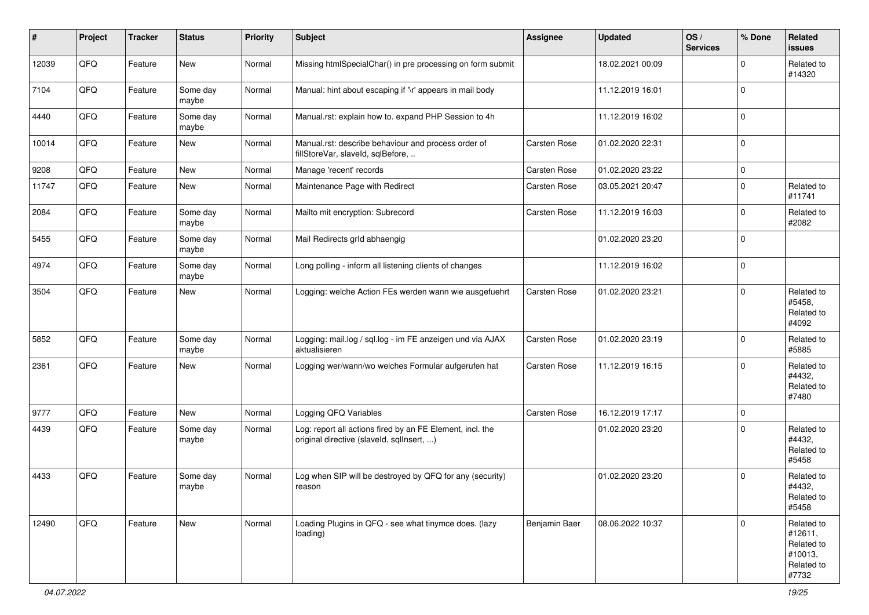| ∦     | Project | <b>Tracker</b> | <b>Status</b>     | <b>Priority</b> | <b>Subject</b>                                                                                         | <b>Assignee</b>     | <b>Updated</b>   | OS/<br><b>Services</b> | % Done      | Related<br>issues                                                     |
|-------|---------|----------------|-------------------|-----------------|--------------------------------------------------------------------------------------------------------|---------------------|------------------|------------------------|-------------|-----------------------------------------------------------------------|
| 12039 | QFQ     | Feature        | New               | Normal          | Missing htmlSpecialChar() in pre processing on form submit                                             |                     | 18.02.2021 00:09 |                        | $\Omega$    | Related to<br>#14320                                                  |
| 7104  | QFQ     | Feature        | Some day<br>maybe | Normal          | Manual: hint about escaping if '\r' appears in mail body                                               |                     | 11.12.2019 16:01 |                        | $\Omega$    |                                                                       |
| 4440  | QFQ     | Feature        | Some day<br>maybe | Normal          | Manual.rst: explain how to. expand PHP Session to 4h                                                   |                     | 11.12.2019 16:02 |                        | $\Omega$    |                                                                       |
| 10014 | QFQ     | Feature        | New               | Normal          | Manual.rst: describe behaviour and process order of<br>fillStoreVar, slaveId, sqlBefore,               | <b>Carsten Rose</b> | 01.02.2020 22:31 |                        | $\mathbf 0$ |                                                                       |
| 9208  | QFQ     | Feature        | <b>New</b>        | Normal          | Manage 'recent' records                                                                                | <b>Carsten Rose</b> | 01.02.2020 23:22 |                        | $\mathbf 0$ |                                                                       |
| 11747 | QFQ     | Feature        | New               | Normal          | Maintenance Page with Redirect                                                                         | Carsten Rose        | 03.05.2021 20:47 |                        | $\mathbf 0$ | Related to<br>#11741                                                  |
| 2084  | QFQ     | Feature        | Some day<br>maybe | Normal          | Mailto mit encryption: Subrecord                                                                       | Carsten Rose        | 11.12.2019 16:03 |                        | $\mathbf 0$ | Related to<br>#2082                                                   |
| 5455  | QFQ     | Feature        | Some day<br>maybe | Normal          | Mail Redirects grld abhaengig                                                                          |                     | 01.02.2020 23:20 |                        | $\mathbf 0$ |                                                                       |
| 4974  | QFQ     | Feature        | Some day<br>maybe | Normal          | Long polling - inform all listening clients of changes                                                 |                     | 11.12.2019 16:02 |                        | $\mathbf 0$ |                                                                       |
| 3504  | QFQ     | Feature        | New               | Normal          | Logging: welche Action FEs werden wann wie ausgefuehrt                                                 | Carsten Rose        | 01.02.2020 23:21 |                        | $\Omega$    | Related to<br>#5458,<br>Related to<br>#4092                           |
| 5852  | QFQ     | Feature        | Some day<br>maybe | Normal          | Logging: mail.log / sql.log - im FE anzeigen und via AJAX<br>aktualisieren                             | Carsten Rose        | 01.02.2020 23:19 |                        | $\Omega$    | Related to<br>#5885                                                   |
| 2361  | QFQ     | Feature        | New               | Normal          | Logging wer/wann/wo welches Formular aufgerufen hat                                                    | Carsten Rose        | 11.12.2019 16:15 |                        | $\Omega$    | Related to<br>#4432,<br>Related to<br>#7480                           |
| 9777  | QFQ     | Feature        | <b>New</b>        | Normal          | Logging QFQ Variables                                                                                  | Carsten Rose        | 16.12.2019 17:17 |                        | $\mathbf 0$ |                                                                       |
| 4439  | QFQ     | Feature        | Some day<br>maybe | Normal          | Log: report all actions fired by an FE Element, incl. the<br>original directive (slaveld, sqllnsert, ) |                     | 01.02.2020 23:20 |                        | $\Omega$    | Related to<br>#4432,<br>Related to<br>#5458                           |
| 4433  | QFQ     | Feature        | Some day<br>maybe | Normal          | Log when SIP will be destroyed by QFQ for any (security)<br>reason                                     |                     | 01.02.2020 23:20 |                        | $\Omega$    | Related to<br>#4432,<br>Related to<br>#5458                           |
| 12490 | QFQ     | Feature        | New               | Normal          | Loading Plugins in QFQ - see what tinymce does. (lazy<br>loading)                                      | Benjamin Baer       | 08.06.2022 10:37 |                        | $\Omega$    | Related to<br>#12611,<br>Related to<br>#10013,<br>Related to<br>#7732 |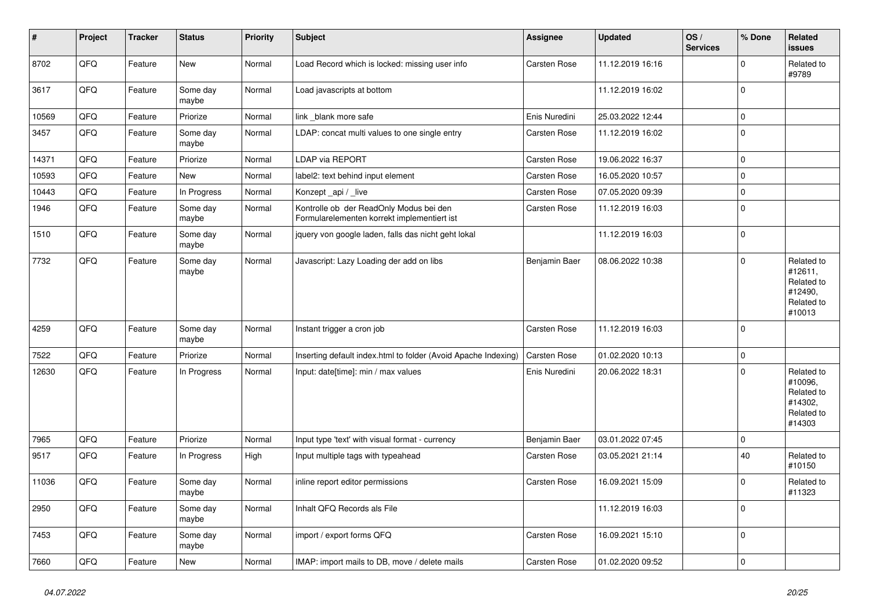| $\vert$ # | Project | <b>Tracker</b> | <b>Status</b>     | <b>Priority</b> | <b>Subject</b>                                                                         | Assignee      | <b>Updated</b>   | OS/<br><b>Services</b> | % Done      | Related<br><b>issues</b>                                               |
|-----------|---------|----------------|-------------------|-----------------|----------------------------------------------------------------------------------------|---------------|------------------|------------------------|-------------|------------------------------------------------------------------------|
| 8702      | QFQ     | Feature        | <b>New</b>        | Normal          | Load Record which is locked: missing user info                                         | Carsten Rose  | 11.12.2019 16:16 |                        | $\Omega$    | Related to<br>#9789                                                    |
| 3617      | QFQ     | Feature        | Some day<br>maybe | Normal          | Load javascripts at bottom                                                             |               | 11.12.2019 16:02 |                        | $\mathbf 0$ |                                                                        |
| 10569     | QFQ     | Feature        | Priorize          | Normal          | link blank more safe                                                                   | Enis Nuredini | 25.03.2022 12:44 |                        | $\mathbf 0$ |                                                                        |
| 3457      | QFQ     | Feature        | Some day<br>maybe | Normal          | LDAP: concat multi values to one single entry                                          | Carsten Rose  | 11.12.2019 16:02 |                        | $\mathbf 0$ |                                                                        |
| 14371     | QFQ     | Feature        | Priorize          | Normal          | LDAP via REPORT                                                                        | Carsten Rose  | 19.06.2022 16:37 |                        | $\mathbf 0$ |                                                                        |
| 10593     | QFQ     | Feature        | <b>New</b>        | Normal          | label2: text behind input element                                                      | Carsten Rose  | 16.05.2020 10:57 |                        | $\mathbf 0$ |                                                                        |
| 10443     | QFQ     | Feature        | In Progress       | Normal          | Konzept_api / _live                                                                    | Carsten Rose  | 07.05.2020 09:39 |                        | $\Omega$    |                                                                        |
| 1946      | QFQ     | Feature        | Some day<br>maybe | Normal          | Kontrolle ob der ReadOnly Modus bei den<br>Formularelementen korrekt implementiert ist | Carsten Rose  | 11.12.2019 16:03 |                        | $\Omega$    |                                                                        |
| 1510      | QFQ     | Feature        | Some day<br>maybe | Normal          | jquery von google laden, falls das nicht geht lokal                                    |               | 11.12.2019 16:03 |                        | $\mathbf 0$ |                                                                        |
| 7732      | QFQ     | Feature        | Some day<br>maybe | Normal          | Javascript: Lazy Loading der add on libs                                               | Benjamin Baer | 08.06.2022 10:38 |                        | $\Omega$    | Related to<br>#12611,<br>Related to<br>#12490,<br>Related to<br>#10013 |
| 4259      | QFQ     | Feature        | Some day<br>maybe | Normal          | Instant trigger a cron job                                                             | Carsten Rose  | 11.12.2019 16:03 |                        | $\mathbf 0$ |                                                                        |
| 7522      | QFQ     | Feature        | Priorize          | Normal          | Inserting default index.html to folder (Avoid Apache Indexing)                         | Carsten Rose  | 01.02.2020 10:13 |                        | $\mathbf 0$ |                                                                        |
| 12630     | QFQ     | Feature        | In Progress       | Normal          | Input: date[time]: min / max values                                                    | Enis Nuredini | 20.06.2022 18:31 |                        | $\Omega$    | Related to<br>#10096,<br>Related to<br>#14302,<br>Related to<br>#14303 |
| 7965      | QFQ     | Feature        | Priorize          | Normal          | Input type 'text' with visual format - currency                                        | Benjamin Baer | 03.01.2022 07:45 |                        | $\mathbf 0$ |                                                                        |
| 9517      | QFQ     | Feature        | In Progress       | High            | Input multiple tags with typeahead                                                     | Carsten Rose  | 03.05.2021 21:14 |                        | 40          | Related to<br>#10150                                                   |
| 11036     | QFQ     | Feature        | Some day<br>maybe | Normal          | inline report editor permissions                                                       | Carsten Rose  | 16.09.2021 15:09 |                        | $\Omega$    | Related to<br>#11323                                                   |
| 2950      | QFQ     | Feature        | Some day<br>maybe | Normal          | Inhalt QFQ Records als File                                                            |               | 11.12.2019 16:03 |                        | $\Omega$    |                                                                        |
| 7453      | QFQ     | Feature        | Some day<br>maybe | Normal          | import / export forms QFQ                                                              | Carsten Rose  | 16.09.2021 15:10 |                        | $\Omega$    |                                                                        |
| 7660      | QFQ     | Feature        | <b>New</b>        | Normal          | IMAP: import mails to DB, move / delete mails                                          | Carsten Rose  | 01.02.2020 09:52 |                        | $\mathbf 0$ |                                                                        |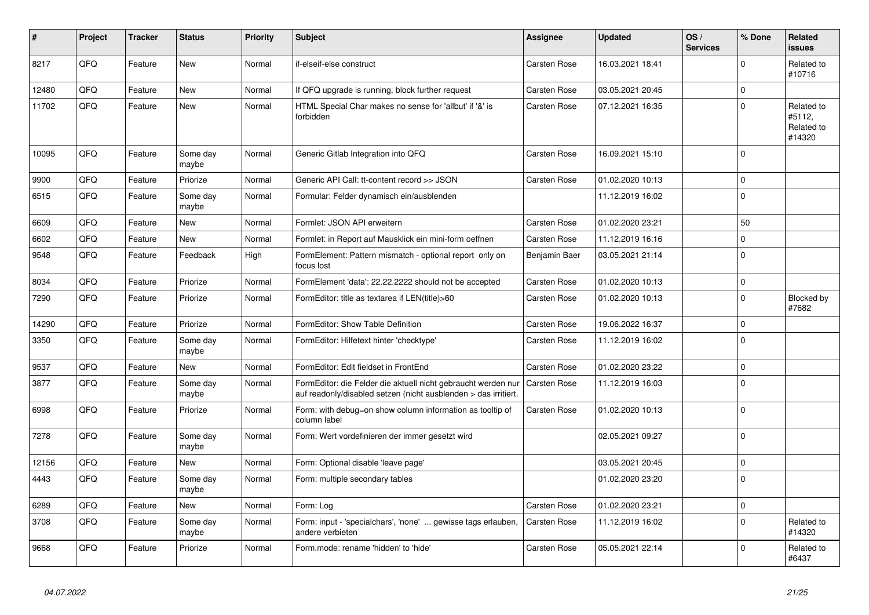| ∦     | Project | <b>Tracker</b> | <b>Status</b>     | <b>Priority</b> | <b>Subject</b>                                                                                                                   | Assignee            | <b>Updated</b>   | OS/<br><b>Services</b> | % Done         | Related<br><b>issues</b>                     |
|-------|---------|----------------|-------------------|-----------------|----------------------------------------------------------------------------------------------------------------------------------|---------------------|------------------|------------------------|----------------|----------------------------------------------|
| 8217  | QFQ     | Feature        | New               | Normal          | if-elseif-else construct                                                                                                         | <b>Carsten Rose</b> | 16.03.2021 18:41 |                        | $\Omega$       | Related to<br>#10716                         |
| 12480 | QFQ     | Feature        | New               | Normal          | If QFQ upgrade is running, block further request                                                                                 | <b>Carsten Rose</b> | 03.05.2021 20:45 |                        | $\Omega$       |                                              |
| 11702 | QFQ     | Feature        | <b>New</b>        | Normal          | HTML Special Char makes no sense for 'allbut' if '&' is<br>forbidden                                                             | <b>Carsten Rose</b> | 07.12.2021 16:35 |                        | $\Omega$       | Related to<br>#5112,<br>Related to<br>#14320 |
| 10095 | QFQ     | Feature        | Some day<br>maybe | Normal          | Generic Gitlab Integration into QFQ                                                                                              | <b>Carsten Rose</b> | 16.09.2021 15:10 |                        | $\Omega$       |                                              |
| 9900  | QFQ     | Feature        | Priorize          | Normal          | Generic API Call: tt-content record >> JSON                                                                                      | Carsten Rose        | 01.02.2020 10:13 |                        | $\Omega$       |                                              |
| 6515  | QFQ     | Feature        | Some day<br>maybe | Normal          | Formular: Felder dynamisch ein/ausblenden                                                                                        |                     | 11.12.2019 16:02 |                        | $\overline{0}$ |                                              |
| 6609  | QFQ     | Feature        | <b>New</b>        | Normal          | Formlet: JSON API erweitern                                                                                                      | Carsten Rose        | 01.02.2020 23:21 |                        | 50             |                                              |
| 6602  | QFQ     | Feature        | New               | Normal          | Formlet: in Report auf Mausklick ein mini-form oeffnen                                                                           | Carsten Rose        | 11.12.2019 16:16 |                        | $\Omega$       |                                              |
| 9548  | QFQ     | Feature        | Feedback          | High            | FormElement: Pattern mismatch - optional report only on<br>focus lost                                                            | Benjamin Baer       | 03.05.2021 21:14 |                        | $\Omega$       |                                              |
| 8034  | QFQ     | Feature        | Priorize          | Normal          | FormElement 'data': 22.22.2222 should not be accepted                                                                            | <b>Carsten Rose</b> | 01.02.2020 10:13 |                        | $\Omega$       |                                              |
| 7290  | QFQ     | Feature        | Priorize          | Normal          | FormEditor: title as textarea if LEN(title)>60                                                                                   | Carsten Rose        | 01.02.2020 10:13 |                        | $\Omega$       | Blocked by<br>#7682                          |
| 14290 | QFQ     | Feature        | Priorize          | Normal          | FormEditor: Show Table Definition                                                                                                | Carsten Rose        | 19.06.2022 16:37 |                        | $\mathbf 0$    |                                              |
| 3350  | QFQ     | Feature        | Some day<br>maybe | Normal          | FormEditor: Hilfetext hinter 'checktype'                                                                                         | Carsten Rose        | 11.12.2019 16:02 |                        | $\overline{0}$ |                                              |
| 9537  | QFQ     | Feature        | New               | Normal          | FormEditor: Edit fieldset in FrontEnd                                                                                            | Carsten Rose        | 01.02.2020 23:22 |                        | $\mathbf 0$    |                                              |
| 3877  | QFQ     | Feature        | Some day<br>maybe | Normal          | FormEditor: die Felder die aktuell nicht gebraucht werden nur<br>auf readonly/disabled setzen (nicht ausblenden > das irritiert. | Carsten Rose        | 11.12.2019 16:03 |                        | $\overline{0}$ |                                              |
| 6998  | QFQ     | Feature        | Priorize          | Normal          | Form: with debug=on show column information as tooltip of<br>column label                                                        | Carsten Rose        | 01.02.2020 10:13 |                        | $\Omega$       |                                              |
| 7278  | QFQ     | Feature        | Some day<br>maybe | Normal          | Form: Wert vordefinieren der immer gesetzt wird                                                                                  |                     | 02.05.2021 09:27 |                        | $\Omega$       |                                              |
| 12156 | QFQ     | Feature        | <b>New</b>        | Normal          | Form: Optional disable 'leave page'                                                                                              |                     | 03.05.2021 20:45 |                        | $\mathbf 0$    |                                              |
| 4443  | QFQ     | Feature        | Some day<br>maybe | Normal          | Form: multiple secondary tables                                                                                                  |                     | 01.02.2020 23:20 |                        | $\Omega$       |                                              |
| 6289  | QFQ     | Feature        | <b>New</b>        | Normal          | Form: Log                                                                                                                        | Carsten Rose        | 01.02.2020 23:21 |                        | $\mathbf 0$    |                                              |
| 3708  | QFQ     | Feature        | Some day<br>maybe | Normal          | Form: input - 'specialchars', 'none'  gewisse tags erlauben,<br>andere verbieten                                                 | Carsten Rose        | 11.12.2019 16:02 |                        | $\Omega$       | Related to<br>#14320                         |
| 9668  | QFQ     | Feature        | Priorize          | Normal          | Form.mode: rename 'hidden' to 'hide'                                                                                             | Carsten Rose        | 05.05.2021 22:14 |                        | $\Omega$       | Related to<br>#6437                          |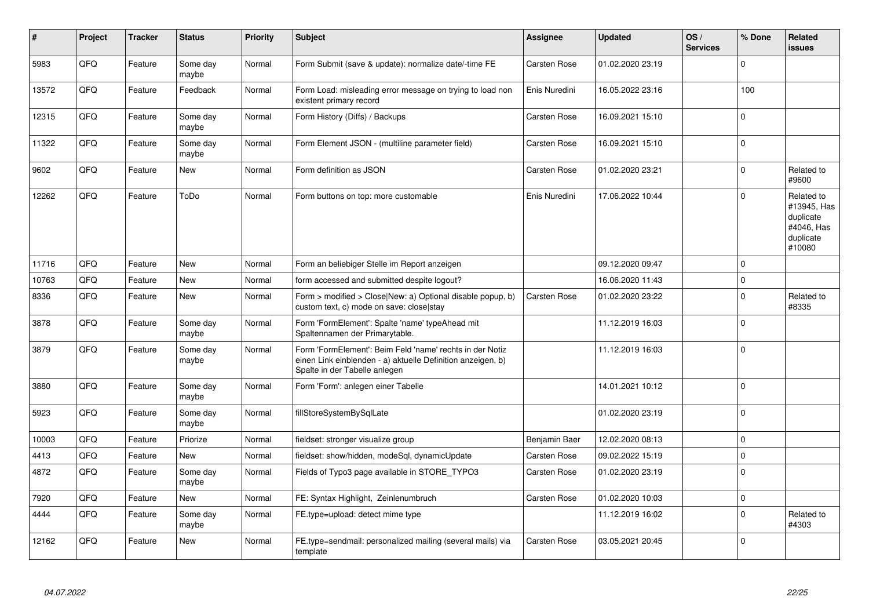| #     | Project | <b>Tracker</b> | <b>Status</b>     | <b>Priority</b> | <b>Subject</b>                                                                                                                                           | Assignee            | <b>Updated</b>   | OS/<br><b>Services</b> | % Done      | Related<br>issues                                                           |
|-------|---------|----------------|-------------------|-----------------|----------------------------------------------------------------------------------------------------------------------------------------------------------|---------------------|------------------|------------------------|-------------|-----------------------------------------------------------------------------|
| 5983  | QFQ     | Feature        | Some day<br>maybe | Normal          | Form Submit (save & update): normalize date/-time FE                                                                                                     | Carsten Rose        | 01.02.2020 23:19 |                        | $\Omega$    |                                                                             |
| 13572 | QFQ     | Feature        | Feedback          | Normal          | Form Load: misleading error message on trying to load non<br>existent primary record                                                                     | Enis Nuredini       | 16.05.2022 23:16 |                        | 100         |                                                                             |
| 12315 | QFQ     | Feature        | Some day<br>maybe | Normal          | Form History (Diffs) / Backups                                                                                                                           | <b>Carsten Rose</b> | 16.09.2021 15:10 |                        | $\Omega$    |                                                                             |
| 11322 | QFQ     | Feature        | Some day<br>maybe | Normal          | Form Element JSON - (multiline parameter field)                                                                                                          | <b>Carsten Rose</b> | 16.09.2021 15:10 |                        | $\Omega$    |                                                                             |
| 9602  | QFQ     | Feature        | <b>New</b>        | Normal          | Form definition as JSON                                                                                                                                  | Carsten Rose        | 01.02.2020 23:21 |                        | $\Omega$    | Related to<br>#9600                                                         |
| 12262 | QFQ     | Feature        | ToDo              | Normal          | Form buttons on top: more customable                                                                                                                     | Enis Nuredini       | 17.06.2022 10:44 |                        | $\Omega$    | Related to<br>#13945, Has<br>duplicate<br>#4046, Has<br>duplicate<br>#10080 |
| 11716 | QFQ     | Feature        | New               | Normal          | Form an beliebiger Stelle im Report anzeigen                                                                                                             |                     | 09.12.2020 09:47 |                        | $\Omega$    |                                                                             |
| 10763 | QFQ     | Feature        | New               | Normal          | form accessed and submitted despite logout?                                                                                                              |                     | 16.06.2020 11:43 |                        | $\mathbf 0$ |                                                                             |
| 8336  | QFQ     | Feature        | New               | Normal          | Form > modified > Close New: a) Optional disable popup, b)<br>custom text, c) mode on save: close stay                                                   | Carsten Rose        | 01.02.2020 23:22 |                        | $\Omega$    | Related to<br>#8335                                                         |
| 3878  | QFQ     | Feature        | Some day<br>maybe | Normal          | Form 'FormElement': Spalte 'name' typeAhead mit<br>Spaltennamen der Primarytable.                                                                        |                     | 11.12.2019 16:03 |                        | $\Omega$    |                                                                             |
| 3879  | QFQ     | Feature        | Some day<br>maybe | Normal          | Form 'FormElement': Beim Feld 'name' rechts in der Notiz<br>einen Link einblenden - a) aktuelle Definition anzeigen, b)<br>Spalte in der Tabelle anlegen |                     | 11.12.2019 16:03 |                        | $\Omega$    |                                                                             |
| 3880  | QFQ     | Feature        | Some day<br>maybe | Normal          | Form 'Form': anlegen einer Tabelle                                                                                                                       |                     | 14.01.2021 10:12 |                        | $\Omega$    |                                                                             |
| 5923  | QFQ     | Feature        | Some day<br>maybe | Normal          | fillStoreSystemBySqlLate                                                                                                                                 |                     | 01.02.2020 23:19 |                        | $\Omega$    |                                                                             |
| 10003 | QFQ     | Feature        | Priorize          | Normal          | fieldset: stronger visualize group                                                                                                                       | Benjamin Baer       | 12.02.2020 08:13 |                        | $\Omega$    |                                                                             |
| 4413  | QFQ     | Feature        | New               | Normal          | fieldset: show/hidden, modeSql, dynamicUpdate                                                                                                            | <b>Carsten Rose</b> | 09.02.2022 15:19 |                        | $\mathbf 0$ |                                                                             |
| 4872  | QFQ     | Feature        | Some day<br>maybe | Normal          | Fields of Typo3 page available in STORE_TYPO3                                                                                                            | <b>Carsten Rose</b> | 01.02.2020 23:19 |                        | $\Omega$    |                                                                             |
| 7920  | QFQ     | Feature        | <b>New</b>        | Normal          | FE: Syntax Highlight, Zeinlenumbruch                                                                                                                     | <b>Carsten Rose</b> | 01.02.2020 10:03 |                        | $\mathbf 0$ |                                                                             |
| 4444  | QFQ     | Feature        | Some day<br>maybe | Normal          | FE.type=upload: detect mime type                                                                                                                         |                     | 11.12.2019 16:02 |                        | $\Omega$    | Related to<br>#4303                                                         |
| 12162 | QFQ     | Feature        | <b>New</b>        | Normal          | FE.type=sendmail: personalized mailing (several mails) via<br>template                                                                                   | Carsten Rose        | 03.05.2021 20:45 |                        | $\Omega$    |                                                                             |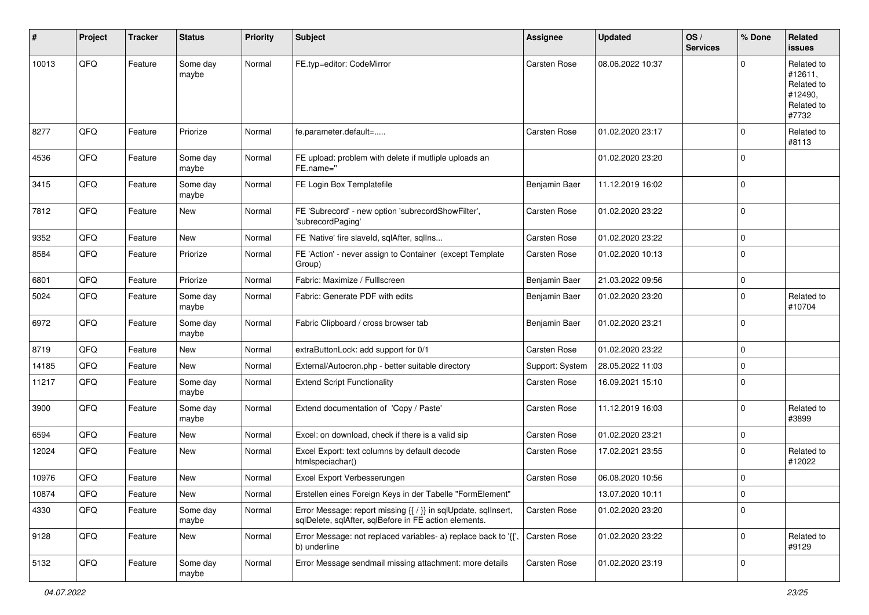| $\pmb{\#}$ | Project | <b>Tracker</b> | <b>Status</b>     | <b>Priority</b> | <b>Subject</b>                                                                                                          | <b>Assignee</b>     | <b>Updated</b>   | OS/<br><b>Services</b> | % Done      | Related<br>issues                                                     |
|------------|---------|----------------|-------------------|-----------------|-------------------------------------------------------------------------------------------------------------------------|---------------------|------------------|------------------------|-------------|-----------------------------------------------------------------------|
| 10013      | QFQ     | Feature        | Some day<br>maybe | Normal          | FE.typ=editor: CodeMirror                                                                                               | Carsten Rose        | 08.06.2022 10:37 |                        |             | Related to<br>#12611,<br>Related to<br>#12490,<br>Related to<br>#7732 |
| 8277       | QFQ     | Feature        | Priorize          | Normal          | fe.parameter.default=                                                                                                   | Carsten Rose        | 01.02.2020 23:17 |                        | $\Omega$    | Related to<br>#8113                                                   |
| 4536       | QFQ     | Feature        | Some day<br>maybe | Normal          | FE upload: problem with delete if mutliple uploads an<br>FE.name="                                                      |                     | 01.02.2020 23:20 |                        | $\Omega$    |                                                                       |
| 3415       | QFQ     | Feature        | Some day<br>maybe | Normal          | FE Login Box Templatefile                                                                                               | Benjamin Baer       | 11.12.2019 16:02 |                        | $\Omega$    |                                                                       |
| 7812       | QFQ     | Feature        | New               | Normal          | FE 'Subrecord' - new option 'subrecordShowFilter',<br>'subrecordPaging'                                                 | Carsten Rose        | 01.02.2020 23:22 |                        | $\mathbf 0$ |                                                                       |
| 9352       | QFQ     | Feature        | <b>New</b>        | Normal          | FE 'Native' fire slaveld, sqlAfter, sqlIns                                                                              | <b>Carsten Rose</b> | 01.02.2020 23:22 |                        | $\Omega$    |                                                                       |
| 8584       | QFQ     | Feature        | Priorize          | Normal          | FE 'Action' - never assign to Container (except Template<br>Group)                                                      | Carsten Rose        | 01.02.2020 10:13 |                        | $\Omega$    |                                                                       |
| 6801       | QFQ     | Feature        | Priorize          | Normal          | Fabric: Maximize / FullIscreen                                                                                          | Benjamin Baer       | 21.03.2022 09:56 |                        | $\mathbf 0$ |                                                                       |
| 5024       | QFQ     | Feature        | Some day<br>maybe | Normal          | Fabric: Generate PDF with edits                                                                                         | Benjamin Baer       | 01.02.2020 23:20 |                        | $\Omega$    | Related to<br>#10704                                                  |
| 6972       | QFQ     | Feature        | Some day<br>maybe | Normal          | Fabric Clipboard / cross browser tab                                                                                    | Benjamin Baer       | 01.02.2020 23:21 |                        | $\Omega$    |                                                                       |
| 8719       | QFQ     | Feature        | New               | Normal          | extraButtonLock: add support for 0/1                                                                                    | Carsten Rose        | 01.02.2020 23:22 |                        | $\mathbf 0$ |                                                                       |
| 14185      | QFQ     | Feature        | New               | Normal          | External/Autocron.php - better suitable directory                                                                       | Support: System     | 28.05.2022 11:03 |                        | 0           |                                                                       |
| 11217      | QFQ     | Feature        | Some day<br>maybe | Normal          | <b>Extend Script Functionality</b>                                                                                      | Carsten Rose        | 16.09.2021 15:10 |                        | $\Omega$    |                                                                       |
| 3900       | QFQ     | Feature        | Some day<br>maybe | Normal          | Extend documentation of 'Copy / Paste'                                                                                  | Carsten Rose        | 11.12.2019 16:03 |                        | $\Omega$    | Related to<br>#3899                                                   |
| 6594       | QFQ     | Feature        | <b>New</b>        | Normal          | Excel: on download, check if there is a valid sip                                                                       | Carsten Rose        | 01.02.2020 23:21 |                        | $\Omega$    |                                                                       |
| 12024      | QFQ     | Feature        | New               | Normal          | Excel Export: text columns by default decode<br>htmlspeciachar()                                                        | Carsten Rose        | 17.02.2021 23:55 |                        | $\Omega$    | Related to<br>#12022                                                  |
| 10976      | QFQ     | Feature        | New               | Normal          | Excel Export Verbesserungen                                                                                             | Carsten Rose        | 06.08.2020 10:56 |                        | $\mathbf 0$ |                                                                       |
| 10874      | QFQ     | Feature        | New               | Normal          | Erstellen eines Foreign Keys in der Tabelle "FormElement"                                                               |                     | 13.07.2020 10:11 |                        | 0           |                                                                       |
| 4330       | QFQ     | Feature        | Some day<br>maybe | Normal          | Error Message: report missing {{ / }} in sqlUpdate, sqlInsert,<br>sqlDelete, sqlAfter, sqlBefore in FE action elements. | Carsten Rose        | 01.02.2020 23:20 |                        | 0           |                                                                       |
| 9128       | QFQ     | Feature        | New               | Normal          | Error Message: not replaced variables- a) replace back to '{',<br>b) underline                                          | Carsten Rose        | 01.02.2020 23:22 |                        | 0           | Related to<br>#9129                                                   |
| 5132       | QFQ     | Feature        | Some day<br>maybe | Normal          | Error Message sendmail missing attachment: more details                                                                 | Carsten Rose        | 01.02.2020 23:19 |                        | 0           |                                                                       |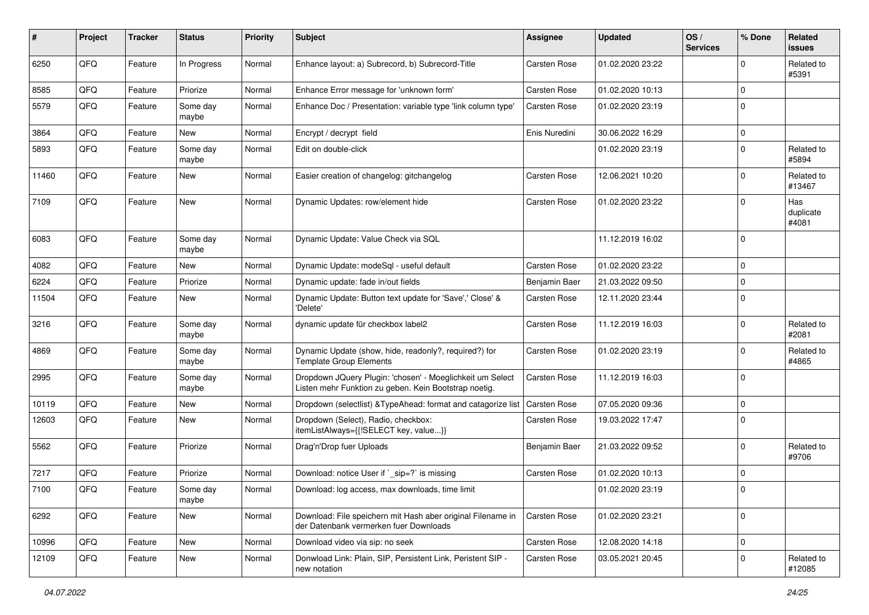| #     | Project | <b>Tracker</b> | <b>Status</b>     | <b>Priority</b> | <b>Subject</b>                                                                                                     | <b>Assignee</b> | <b>Updated</b>   | OS/<br><b>Services</b> | % Done      | Related<br>issues         |
|-------|---------|----------------|-------------------|-----------------|--------------------------------------------------------------------------------------------------------------------|-----------------|------------------|------------------------|-------------|---------------------------|
| 6250  | QFQ     | Feature        | In Progress       | Normal          | Enhance layout: a) Subrecord, b) Subrecord-Title                                                                   | Carsten Rose    | 01.02.2020 23:22 |                        | $\Omega$    | Related to<br>#5391       |
| 8585  | QFQ     | Feature        | Priorize          | Normal          | Enhance Error message for 'unknown form'                                                                           | Carsten Rose    | 01.02.2020 10:13 |                        | 0           |                           |
| 5579  | QFQ     | Feature        | Some day<br>maybe | Normal          | Enhance Doc / Presentation: variable type 'link column type'                                                       | Carsten Rose    | 01.02.2020 23:19 |                        | $\Omega$    |                           |
| 3864  | QFQ     | Feature        | <b>New</b>        | Normal          | Encrypt / decrypt field                                                                                            | Enis Nuredini   | 30.06.2022 16:29 |                        | $\mathbf 0$ |                           |
| 5893  | QFQ     | Feature        | Some day<br>maybe | Normal          | Edit on double-click                                                                                               |                 | 01.02.2020 23:19 |                        | 0           | Related to<br>#5894       |
| 11460 | QFQ     | Feature        | New               | Normal          | Easier creation of changelog: gitchangelog                                                                         | Carsten Rose    | 12.06.2021 10:20 |                        | $\mathbf 0$ | Related to<br>#13467      |
| 7109  | QFQ     | Feature        | <b>New</b>        | Normal          | Dynamic Updates: row/element hide                                                                                  | Carsten Rose    | 01.02.2020 23:22 |                        | 0           | Has<br>duplicate<br>#4081 |
| 6083  | QFQ     | Feature        | Some day<br>maybe | Normal          | Dynamic Update: Value Check via SQL                                                                                |                 | 11.12.2019 16:02 |                        | $\mathbf 0$ |                           |
| 4082  | QFQ     | Feature        | <b>New</b>        | Normal          | Dynamic Update: modeSql - useful default                                                                           | Carsten Rose    | 01.02.2020 23:22 |                        | $\mathbf 0$ |                           |
| 6224  | QFQ     | Feature        | Priorize          | Normal          | Dynamic update: fade in/out fields                                                                                 | Benjamin Baer   | 21.03.2022 09:50 |                        | $\mathbf 0$ |                           |
| 11504 | QFQ     | Feature        | New               | Normal          | Dynamic Update: Button text update for 'Save',' Close' &<br>'Delete'                                               | Carsten Rose    | 12.11.2020 23:44 |                        | 0           |                           |
| 3216  | QFQ     | Feature        | Some day<br>maybe | Normal          | dynamic update für checkbox label2                                                                                 | Carsten Rose    | 11.12.2019 16:03 |                        | $\mathbf 0$ | Related to<br>#2081       |
| 4869  | QFQ     | Feature        | Some day<br>maybe | Normal          | Dynamic Update (show, hide, readonly?, required?) for<br><b>Template Group Elements</b>                            | Carsten Rose    | 01.02.2020 23:19 |                        | $\Omega$    | Related to<br>#4865       |
| 2995  | QFQ     | Feature        | Some day<br>maybe | Normal          | Dropdown JQuery Plugin: 'chosen' - Moeglichkeit um Select<br>Listen mehr Funktion zu geben. Kein Bootstrap noetig. | Carsten Rose    | 11.12.2019 16:03 |                        | $\Omega$    |                           |
| 10119 | QFQ     | Feature        | <b>New</b>        | Normal          | Dropdown (selectlist) & Type Ahead: format and catagorize list                                                     | Carsten Rose    | 07.05.2020 09:36 |                        | $\mathbf 0$ |                           |
| 12603 | QFQ     | Feature        | New               | Normal          | Dropdown (Select), Radio, checkbox:<br>itemListAlways={{!SELECT key, value}}                                       | Carsten Rose    | 19.03.2022 17:47 |                        | 0           |                           |
| 5562  | QFQ     | Feature        | Priorize          | Normal          | Drag'n'Drop fuer Uploads                                                                                           | Benjamin Baer   | 21.03.2022 09:52 |                        | 0           | Related to<br>#9706       |
| 7217  | QFQ     | Feature        | Priorize          | Normal          | Download: notice User if `_sip=?` is missing                                                                       | Carsten Rose    | 01.02.2020 10:13 |                        | $\mathbf 0$ |                           |
| 7100  | QFQ     | Feature        | Some day<br>maybe | Normal          | Download: log access, max downloads, time limit                                                                    |                 | 01.02.2020 23:19 |                        | $\Omega$    |                           |
| 6292  | QFQ     | Feature        | New               | Normal          | Download: File speichern mit Hash aber original Filename in<br>der Datenbank vermerken fuer Downloads              | Carsten Rose    | 01.02.2020 23:21 |                        | 0           |                           |
| 10996 | QFQ     | Feature        | New               | Normal          | Download video via sip: no seek                                                                                    | Carsten Rose    | 12.08.2020 14:18 |                        | $\mathbf 0$ |                           |
| 12109 | QFQ     | Feature        | New               | Normal          | Donwload Link: Plain, SIP, Persistent Link, Peristent SIP -<br>new notation                                        | Carsten Rose    | 03.05.2021 20:45 |                        | 0           | Related to<br>#12085      |